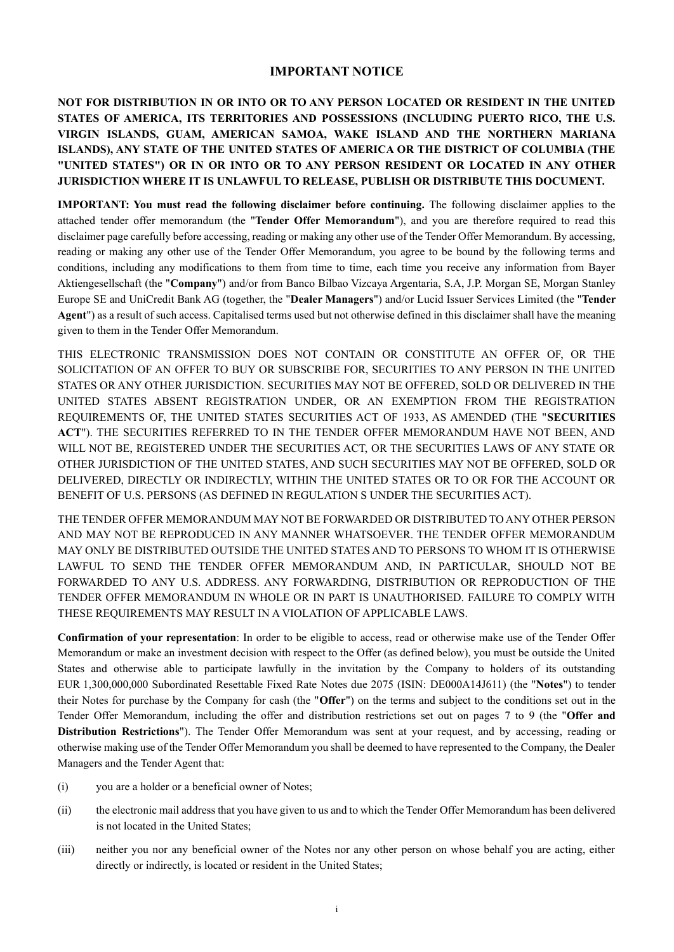## **IMPORTANT NOTICE**

**NOT FOR DISTRIBUTION IN OR INTO OR TO ANY PERSON LOCATED OR RESIDENT IN THE UNITED STATES OF AMERICA, ITS TERRITORIES AND POSSESSIONS (INCLUDING PUERTO RICO, THE U.S. VIRGIN ISLANDS, GUAM, AMERICAN SAMOA, WAKE ISLAND AND THE NORTHERN MARIANA ISLANDS), ANY STATE OF THE UNITED STATES OF AMERICA OR THE DISTRICT OF COLUMBIA (THE "UNITED STATES") OR IN OR INTO OR TO ANY PERSON RESIDENT OR LOCATED IN ANY OTHER JURISDICTION WHERE IT IS UNLAWFUL TO RELEASE, PUBLISH OR DISTRIBUTE THIS DOCUMENT.**

**IMPORTANT: You must read the following disclaimer before continuing.** The following disclaimer applies to the attached tender offer memorandum (the "**Tender Offer Memorandum**"), and you are therefore required to read this disclaimer page carefully before accessing, reading or making any other use of the Tender Offer Memorandum. By accessing, reading or making any other use of the Tender Offer Memorandum, you agree to be bound by the following terms and conditions, including any modifications to them from time to time, each time you receive any information from Bayer Aktiengesellschaft (the "**Company**") and/or from Banco Bilbao Vizcaya Argentaria, S.A, J.P. Morgan SE, Morgan Stanley Europe SE and UniCredit Bank AG (together, the "**Dealer Managers**") and/or Lucid Issuer Services Limited (the "**Tender Agent**") as a result of such access. Capitalised terms used but not otherwise defined in this disclaimer shall have the meaning given to them in the Tender Offer Memorandum.

THIS ELECTRONIC TRANSMISSION DOES NOT CONTAIN OR CONSTITUTE AN OFFER OF, OR THE SOLICITATION OF AN OFFER TO BUY OR SUBSCRIBE FOR, SECURITIES TO ANY PERSON IN THE UNITED STATES OR ANY OTHER JURISDICTION. SECURITIES MAY NOT BE OFFERED, SOLD OR DELIVERED IN THE UNITED STATES ABSENT REGISTRATION UNDER, OR AN EXEMPTION FROM THE REGISTRATION REQUIREMENTS OF, THE UNITED STATES SECURITIES ACT OF 1933, AS AMENDED (THE "**SECURITIES ACT**"). THE SECURITIES REFERRED TO IN THE TENDER OFFER MEMORANDUM HAVE NOT BEEN, AND WILL NOT BE, REGISTERED UNDER THE SECURITIES ACT, OR THE SECURITIES LAWS OF ANY STATE OR OTHER JURISDICTION OF THE UNITED STATES, AND SUCH SECURITIES MAY NOT BE OFFERED, SOLD OR DELIVERED, DIRECTLY OR INDIRECTLY, WITHIN THE UNITED STATES OR TO OR FOR THE ACCOUNT OR BENEFIT OF U.S. PERSONS (AS DEFINED IN REGULATION S UNDER THE SECURITIES ACT).

THE TENDER OFFER MEMORANDUM MAY NOT BE FORWARDED OR DISTRIBUTED TO ANY OTHER PERSON AND MAY NOT BE REPRODUCED IN ANY MANNER WHATSOEVER. THE TENDER OFFER MEMORANDUM MAY ONLY BE DISTRIBUTED OUTSIDE THE UNITED STATES AND TO PERSONS TO WHOM IT IS OTHERWISE LAWFUL TO SEND THE TENDER OFFER MEMORANDUM AND, IN PARTICULAR, SHOULD NOT BE FORWARDED TO ANY U.S. ADDRESS. ANY FORWARDING, DISTRIBUTION OR REPRODUCTION OF THE TENDER OFFER MEMORANDUM IN WHOLE OR IN PART IS UNAUTHORISED. FAILURE TO COMPLY WITH THESE REQUIREMENTS MAY RESULT IN A VIOLATION OF APPLICABLE LAWS.

**Confirmation of your representation**: In order to be eligible to access, read or otherwise make use of the Tender Offer Memorandum or make an investment decision with respect to the Offer (as defined below), you must be outside the United States and otherwise able to participate lawfully in the invitation by the Company to holders of its outstanding EUR 1,300,000,000 Subordinated Resettable Fixed Rate Notes due 2075 (ISIN: DE000A14J611) (the "**Notes**") to tender their Notes for purchase by the Company for cash (the "**Offer**") on the terms and subject to the conditions set out in the Tender Offer Memorandum, including the offer and distribution restrictions set out on pages 7 to 9 (the "**Offer and Distribution Restrictions**"). The Tender Offer Memorandum was sent at your request, and by accessing, reading or otherwise making use of the Tender Offer Memorandum you shall be deemed to have represented to the Company, the Dealer Managers and the Tender Agent that:

- (i) you are a holder or a beneficial owner of Notes;
- (ii) the electronic mail address that you have given to us and to which the Tender Offer Memorandum has been delivered is not located in the United States;
- (iii) neither you nor any beneficial owner of the Notes nor any other person on whose behalf you are acting, either directly or indirectly, is located or resident in the United States;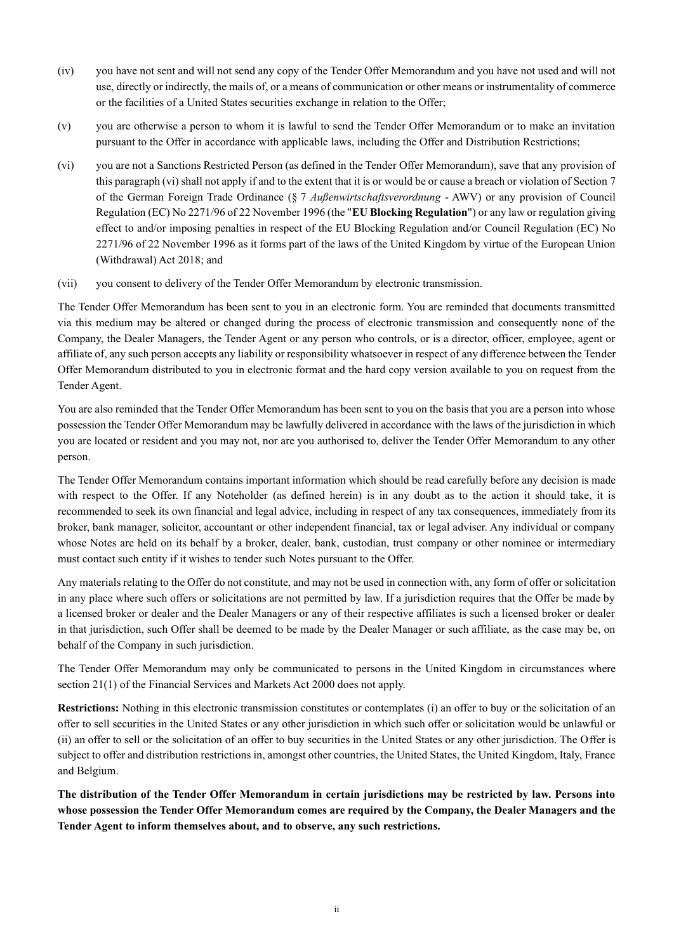- (iv) you have not sent and will not send any copy of the Tender Offer Memorandum and you have not used and will not use, directly or indirectly, the mails of, or a means of communication or other means or instrumentality of commerce or the facilities of a United States securities exchange in relation to the Offer;
- (v) you are otherwise a person to whom it is lawful to send the Tender Offer Memorandum or to make an invitation pursuant to the Offer in accordance with applicable laws, including the Offer and Distribution Restrictions;
- (vi) you are not a Sanctions Restricted Person (as defined in the Tender Offer Memorandum), save that any provision of this paragraph (vi) shall not apply if and to the extent that it is or would be or cause a breach or violation of Section 7 of the German Foreign Trade Ordinance (§ 7 *Außenwirtschaftsverordnung* - AWV) or any provision of Council Regulation (EC) No 2271/96 of 22 November 1996 (the "**EU Blocking Regulation**") or any law or regulation giving effect to and/or imposing penalties in respect of the EU Blocking Regulation and/or Council Regulation (EC) No 2271/96 of 22 November 1996 as it forms part of the laws of the United Kingdom by virtue of the European Union (Withdrawal) Act 2018; and
- (vii) you consent to delivery of the Tender Offer Memorandum by electronic transmission.

The Tender Offer Memorandum has been sent to you in an electronic form. You are reminded that documents transmitted via this medium may be altered or changed during the process of electronic transmission and consequently none of the Company, the Dealer Managers, the Tender Agent or any person who controls, or is a director, officer, employee, agent or affiliate of, any such person accepts any liability or responsibility whatsoever in respect of any difference between the Tender Offer Memorandum distributed to you in electronic format and the hard copy version available to you on request from the Tender Agent.

You are also reminded that the Tender Offer Memorandum has been sent to you on the basis that you are a person into whose possession the Tender Offer Memorandum may be lawfully delivered in accordance with the laws of the jurisdiction in which you are located or resident and you may not, nor are you authorised to, deliver the Tender Offer Memorandum to any other person.

The Tender Offer Memorandum contains important information which should be read carefully before any decision is made with respect to the Offer. If any Noteholder (as defined herein) is in any doubt as to the action it should take, it is recommended to seek its own financial and legal advice, including in respect of any tax consequences, immediately from its broker, bank manager, solicitor, accountant or other independent financial, tax or legal adviser. Any individual or company whose Notes are held on its behalf by a broker, dealer, bank, custodian, trust company or other nominee or intermediary must contact such entity if it wishes to tender such Notes pursuant to the Offer.

Any materials relating to the Offer do not constitute, and may not be used in connection with, any form of offer or solicitation in any place where such offers or solicitations are not permitted by law. If a jurisdiction requires that the Offer be made by a licensed broker or dealer and the Dealer Managers or any of their respective affiliates is such a licensed broker or dealer in that jurisdiction, such Offer shall be deemed to be made by the Dealer Manager or such affiliate, as the case may be, on behalf of the Company in such jurisdiction.

The Tender Offer Memorandum may only be communicated to persons in the United Kingdom in circumstances where section 21(1) of the Financial Services and Markets Act 2000 does not apply.

**Restrictions:** Nothing in this electronic transmission constitutes or contemplates (i) an offer to buy or the solicitation of an offer to sell securities in the United States or any other jurisdiction in which such offer or solicitation would be unlawful or (ii) an offer to sell or the solicitation of an offer to buy securities in the United States or any other jurisdiction. The Offer is subject to offer and distribution restrictions in, amongst other countries, the United States, the United Kingdom, Italy, France and Belgium.

**The distribution of the Tender Offer Memorandum in certain jurisdictions may be restricted by law. Persons into whose possession the Tender Offer Memorandum comes are required by the Company, the Dealer Managers and the Tender Agent to inform themselves about, and to observe, any such restrictions.**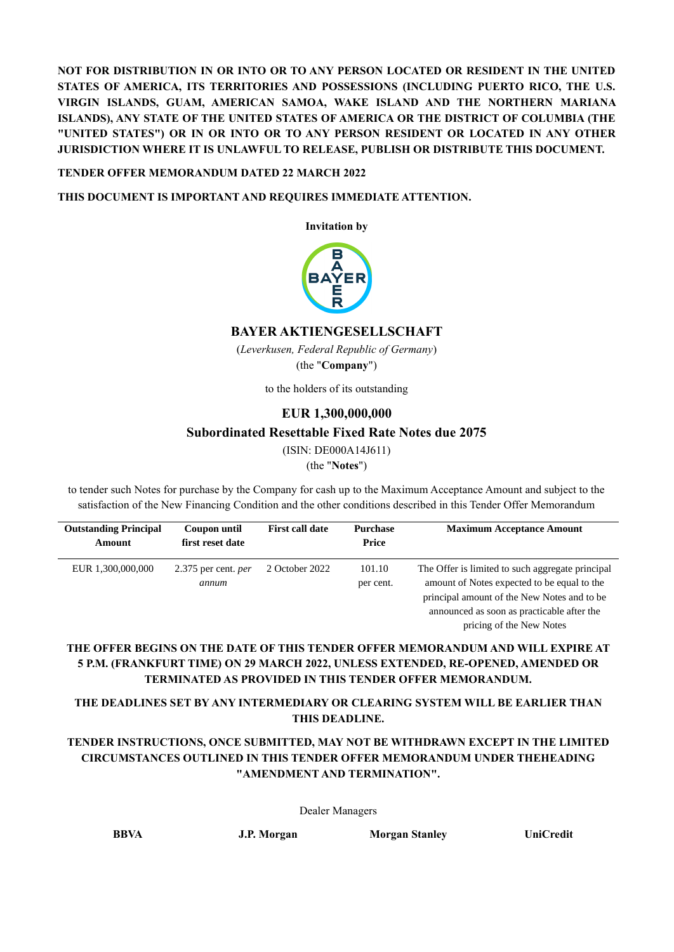**NOT FOR DISTRIBUTION IN OR INTO OR TO ANY PERSON LOCATED OR RESIDENT IN THE UNITED STATES OF AMERICA, ITS TERRITORIES AND POSSESSIONS (INCLUDING PUERTO RICO, THE U.S. VIRGIN ISLANDS, GUAM, AMERICAN SAMOA, WAKE ISLAND AND THE NORTHERN MARIANA ISLANDS), ANY STATE OF THE UNITED STATES OF AMERICA OR THE DISTRICT OF COLUMBIA (THE "UNITED STATES") OR IN OR INTO OR TO ANY PERSON RESIDENT OR LOCATED IN ANY OTHER JURISDICTION WHERE IT IS UNLAWFUL TO RELEASE, PUBLISH OR DISTRIBUTE THIS DOCUMENT.**

### **TENDER OFFER MEMORANDUM DATED 22 MARCH 2022**

**THIS DOCUMENT IS IMPORTANT AND REQUIRES IMMEDIATE ATTENTION.**

**Invitation by**



## **BAYER AKTIENGESELLSCHAFT**

(*Leverkusen, Federal Republic of Germany*) (the "**Company**")

to the holders of its outstanding

## **EUR 1,300,000,000**

## **Subordinated Resettable Fixed Rate Notes due 2075**

(ISIN: DE000A14J611)

(the "**Notes**")

to tender such Notes for purchase by the Company for cash up to the Maximum Acceptance Amount and subject to the satisfaction of the New Financing Condition and the other conditions described in this Tender Offer Memorandum

| <b>Outstanding Principal</b> | Coupon until                          | <b>First call date</b> | <b>Purchase</b>     | <b>Maximum Acceptance Amount</b>                                                                                                                                                                                         |
|------------------------------|---------------------------------------|------------------------|---------------------|--------------------------------------------------------------------------------------------------------------------------------------------------------------------------------------------------------------------------|
| Amount                       | first reset date                      |                        | Price               |                                                                                                                                                                                                                          |
| EUR 1,300,000,000            | $2.375$ per cent. <i>per</i><br>annum | 2 October 2022         | 101.10<br>per cent. | The Offer is limited to such aggregate principal<br>amount of Notes expected to be equal to the<br>principal amount of the New Notes and to be<br>announced as soon as practicable after the<br>pricing of the New Notes |

## **THE OFFER BEGINS ON THE DATE OF THIS TENDER OFFER MEMORANDUM AND WILL EXPIRE AT 5 P.M. (FRANKFURT TIME) ON 29 MARCH 2022, UNLESS EXTENDED, RE-OPENED, AMENDED OR TERMINATED AS PROVIDED IN THIS TENDER OFFER MEMORANDUM.**

## **THE DEADLINES SET BY ANY INTERMEDIARY OR CLEARING SYSTEM WILL BE EARLIER THAN THIS DEADLINE.**

## **TENDER INSTRUCTIONS, ONCE SUBMITTED, MAY NOT BE WITHDRAWN EXCEPT IN THE LIMITED CIRCUMSTANCES OUTLINED IN THIS TENDER OFFER MEMORANDUM UNDER THEHEADING "AMENDMENT AND TERMINATION".**

Dealer Managers

**BBVA J.P. Morgan Morgan Stanley UniCredit**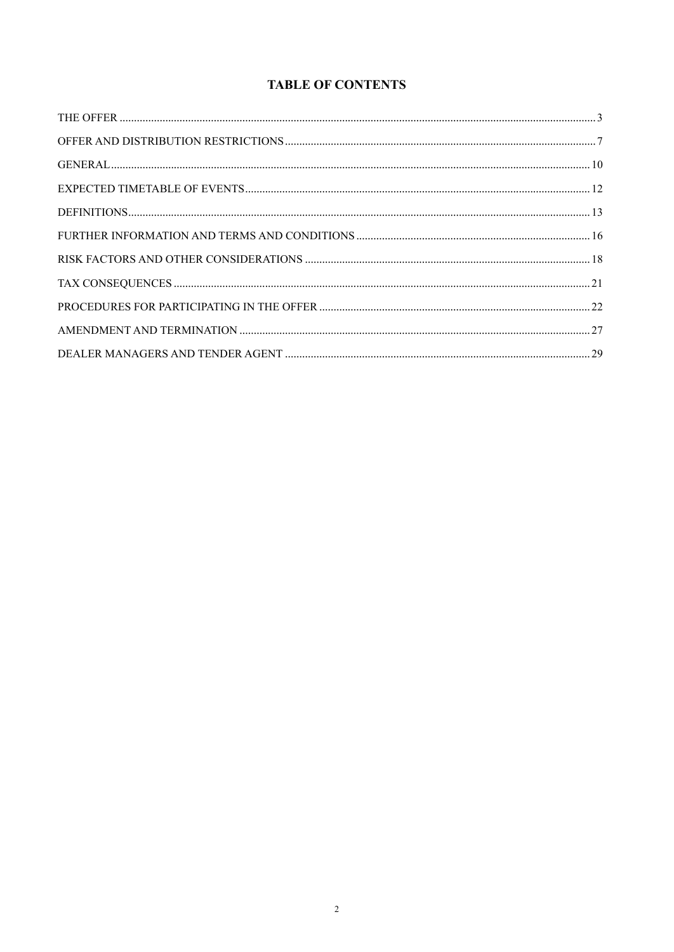# **TABLE OF CONTENTS**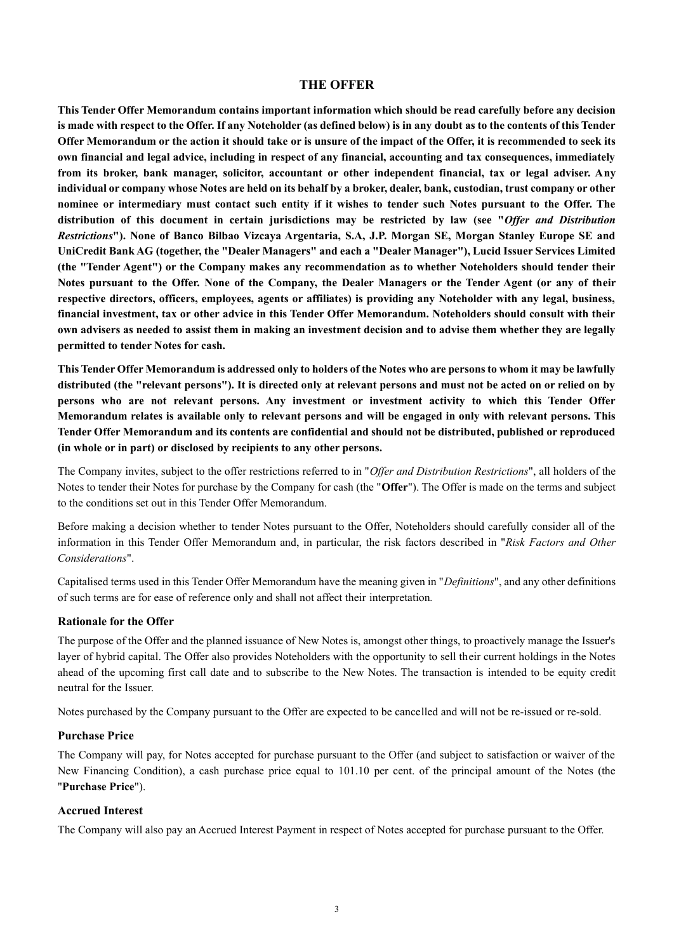## **THE OFFER**

**This Tender Offer Memorandum contains important information which should be read carefully before any decision is made with respect to the Offer. If any Noteholder (as defined below) is in any doubt as to the contents of this Tender Offer Memorandum or the action it should take or is unsure of the impact of the Offer, it is recommended to seek its own financial and legal advice, including in respect of any financial, accounting and tax consequences, immediately from its broker, bank manager, solicitor, accountant or other independent financial, tax or legal adviser. Any individual or company whose Notes are held on its behalf by a broker, dealer, bank, custodian, trust company or other nominee or intermediary must contact such entity if it wishes to tender such Notes pursuant to the Offer. The distribution of this document in certain jurisdictions may be restricted by law (see "***Offer and Distribution Restrictions***"). None of Banco Bilbao Vizcaya Argentaria, S.A, J.P. Morgan SE, Morgan Stanley Europe SE and UniCredit Bank AG (together, the "Dealer Managers" and each a "Dealer Manager"), Lucid Issuer Services Limited (the "Tender Agent") or the Company makes any recommendation as to whether Noteholders should tender their Notes pursuant to the Offer. None of the Company, the Dealer Managers or the Tender Agent (or any of their respective directors, officers, employees, agents or affiliates) is providing any Noteholder with any legal, business, financial investment, tax or other advice in this Tender Offer Memorandum. Noteholders should consult with their own advisers as needed to assist them in making an investment decision and to advise them whether they are legally permitted to tender Notes for cash.**

**This Tender Offer Memorandum is addressed only to holders of the Notes who are persons to whom it may be lawfully distributed (the "relevant persons"). It is directed only at relevant persons and must not be acted on or relied on by persons who are not relevant persons. Any investment or investment activity to which this Tender Offer Memorandum relates is available only to relevant persons and will be engaged in only with relevant persons. This Tender Offer Memorandum and its contents are confidential and should not be distributed, published or reproduced (in whole or in part) or disclosed by recipients to any other persons.**

The Company invites, subject to the offer restrictions referred to in "*Offer and Distribution Restrictions*", all holders of the Notes to tender their Notes for purchase by the Company for cash (the "**Offer**"). The Offer is made on the terms and subject to the conditions set out in this Tender Offer Memorandum.

Before making a decision whether to tender Notes pursuant to the Offer, Noteholders should carefully consider all of the information in this Tender Offer Memorandum and, in particular, the risk factors described in "*Risk Factors and Other Considerations*".

Capitalised terms used in this Tender Offer Memorandum have the meaning given in "*Definitions*", and any other definitions of such terms are for ease of reference only and shall not affect their interpretation*.*

#### **Rationale for the Offer**

The purpose of the Offer and the planned issuance of New Notes is, amongst other things, to proactively manage the Issuer's layer of hybrid capital. The Offer also provides Noteholders with the opportunity to sell their current holdings in the Notes ahead of the upcoming first call date and to subscribe to the New Notes. The transaction is intended to be equity credit neutral for the Issuer.

Notes purchased by the Company pursuant to the Offer are expected to be cancelled and will not be re-issued or re-sold.

#### **Purchase Price**

The Company will pay, for Notes accepted for purchase pursuant to the Offer (and subject to satisfaction or waiver of the New Financing Condition), a cash purchase price equal to 101.10 per cent. of the principal amount of the Notes (the "**Purchase Price**").

#### **Accrued Interest**

The Company will also pay an Accrued Interest Payment in respect of Notes accepted for purchase pursuant to the Offer.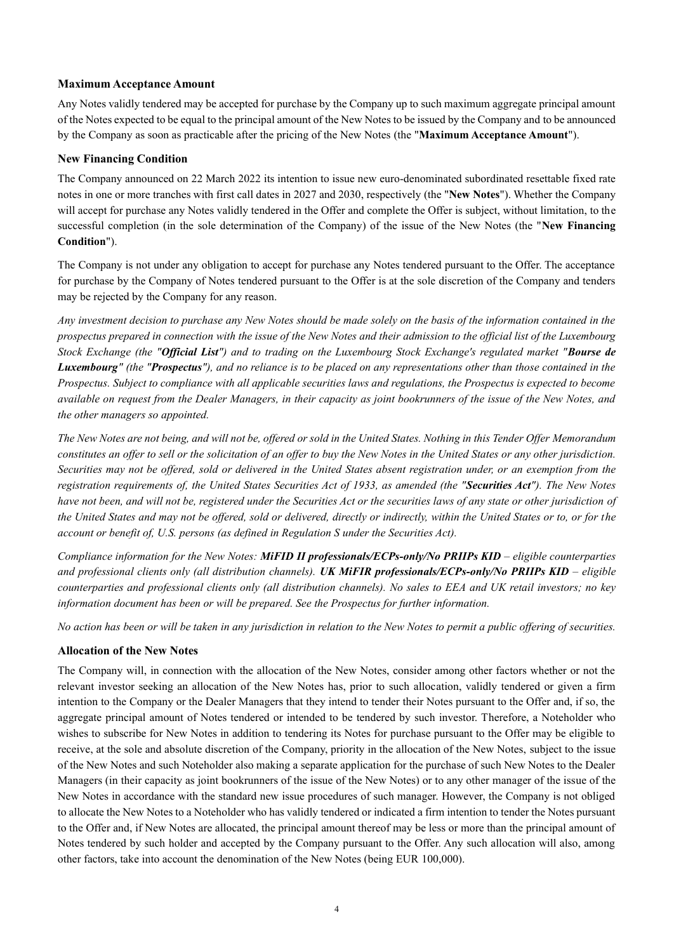#### **Maximum Acceptance Amount**

Any Notes validly tendered may be accepted for purchase by the Company up to such maximum aggregate principal amount of the Notes expected to be equal to the principal amount of the New Notes to be issued by the Company and to be announced by the Company as soon as practicable after the pricing of the New Notes (the "**Maximum Acceptance Amount**").

#### **New Financing Condition**

The Company announced on 22 March 2022 its intention to issue new euro-denominated subordinated resettable fixed rate notes in one or more tranches with first call dates in 2027 and 2030, respectively (the "**New Notes**"). Whether the Company will accept for purchase any Notes validly tendered in the Offer and complete the Offer is subject, without limitation, to the successful completion (in the sole determination of the Company) of the issue of the New Notes (the "**New Financing Condition**").

The Company is not under any obligation to accept for purchase any Notes tendered pursuant to the Offer. The acceptance for purchase by the Company of Notes tendered pursuant to the Offer is at the sole discretion of the Company and tenders may be rejected by the Company for any reason.

*Any investment decision to purchase any New Notes should be made solely on the basis of the information contained in the prospectus prepared in connection with the issue of the New Notes and their admission to the official list of the Luxembourg Stock Exchange (the "Official List") and to trading on the Luxembourg Stock Exchange's regulated market "Bourse de Luxembourg" (the "Prospectus"), and no reliance is to be placed on any representations other than those contained in the Prospectus. Subject to compliance with all applicable securities laws and regulations, the Prospectus is expected to become available on request from the Dealer Managers, in their capacity as joint bookrunners of the issue of the New Notes, and the other managers so appointed.*

*The New Notes are not being, and will not be, offered or sold in the United States. Nothing in this Tender Offer Memorandum constitutes an offer to sell or the solicitation of an offer to buy the New Notes in the United States or any other jurisdiction. Securities may not be offered, sold or delivered in the United States absent registration under, or an exemption from the registration requirements of, the United States Securities Act of 1933, as amended (the "Securities Act"). The New Notes have not been, and will not be, registered under the Securities Act or the securities laws of any state or other jurisdiction of the United States and may not be offered, sold or delivered, directly or indirectly, within the United States or to, or for the account or benefit of, U.S. persons (as defined in Regulation S under the Securities Act).*

*Compliance information for the New Notes: MiFID II professionals/ECPs-only/No PRIIPs KID – eligible counterparties and professional clients only (all distribution channels). UK MiFIR professionals/ECPs-only/No PRIIPs KID – eligible counterparties and professional clients only (all distribution channels). No sales to EEA and UK retail investors; no key information document has been or will be prepared. See the Prospectus for further information.*

*No action has been or will be taken in any jurisdiction in relation to the New Notes to permit a public offering of securities.*

## **Allocation of the New Notes**

The Company will, in connection with the allocation of the New Notes, consider among other factors whether or not the relevant investor seeking an allocation of the New Notes has, prior to such allocation, validly tendered or given a firm intention to the Company or the Dealer Managers that they intend to tender their Notes pursuant to the Offer and, if so, the aggregate principal amount of Notes tendered or intended to be tendered by such investor. Therefore, a Noteholder who wishes to subscribe for New Notes in addition to tendering its Notes for purchase pursuant to the Offer may be eligible to receive, at the sole and absolute discretion of the Company, priority in the allocation of the New Notes, subject to the issue of the New Notes and such Noteholder also making a separate application for the purchase of such New Notes to the Dealer Managers (in their capacity as joint bookrunners of the issue of the New Notes) or to any other manager of the issue of the New Notes in accordance with the standard new issue procedures of such manager. However, the Company is not obliged to allocate the New Notes to a Noteholder who has validly tendered or indicated a firm intention to tender the Notes pursuant to the Offer and, if New Notes are allocated, the principal amount thereof may be less or more than the principal amount of Notes tendered by such holder and accepted by the Company pursuant to the Offer. Any such allocation will also, among other factors, take into account the denomination of the New Notes (being EUR 100,000).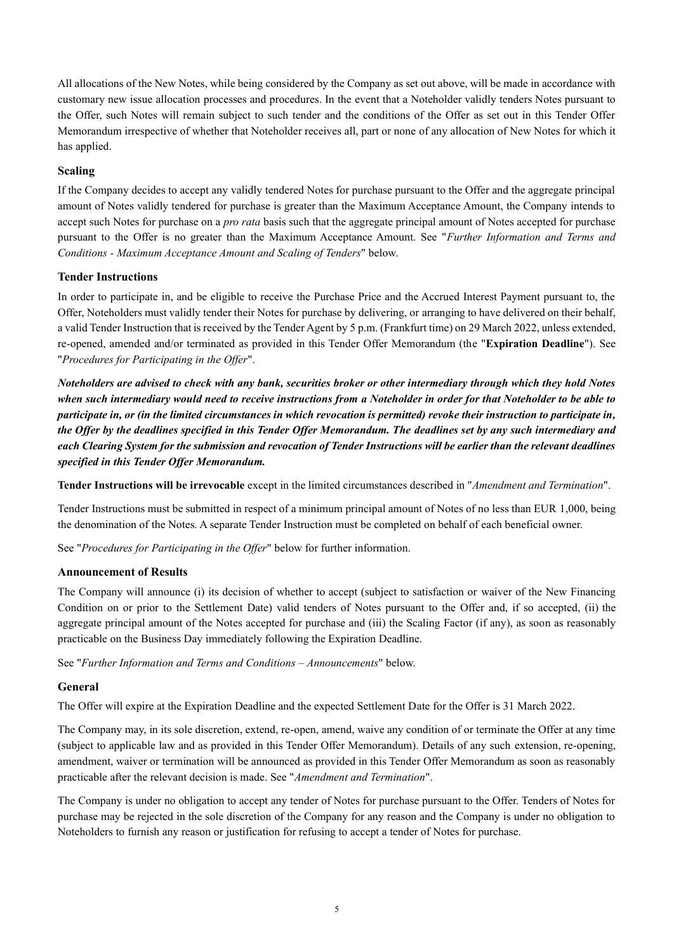All allocations of the New Notes, while being considered by the Company as set out above, will be made in accordance with customary new issue allocation processes and procedures. In the event that a Noteholder validly tenders Notes pursuant to the Offer, such Notes will remain subject to such tender and the conditions of the Offer as set out in this Tender Offer Memorandum irrespective of whether that Noteholder receives all, part or none of any allocation of New Notes for which it has applied.

## **Scaling**

If the Company decides to accept any validly tendered Notes for purchase pursuant to the Offer and the aggregate principal amount of Notes validly tendered for purchase is greater than the Maximum Acceptance Amount, the Company intends to accept such Notes for purchase on a *pro rata* basis such that the aggregate principal amount of Notes accepted for purchase pursuant to the Offer is no greater than the Maximum Acceptance Amount. See "*Further Information and Terms and Conditions - Maximum Acceptance Amount and Scaling of Tenders*" below.

## **Tender Instructions**

In order to participate in, and be eligible to receive the Purchase Price and the Accrued Interest Payment pursuant to, the Offer, Noteholders must validly tender their Notes for purchase by delivering, or arranging to have delivered on their behalf, a valid Tender Instruction that is received by the Tender Agent by 5 p.m. (Frankfurt time) on 29 March 2022, unless extended, re-opened, amended and/or terminated as provided in this Tender Offer Memorandum (the "**Expiration Deadline**"). See "*Procedures for Participating in the Offer*".

*Noteholders are advised to check with any bank, securities broker or other intermediary through which they hold Notes when such intermediary would need to receive instructions from a Noteholder in order for that Noteholder to be able to participate in, or (in the limited circumstances in which revocation is permitted) revoke their instruction to participate in, the Offer by the deadlines specified in this Tender Offer Memorandum. The deadlines set by any such intermediary and each Clearing System for the submission and revocation of Tender Instructions will be earlier than the relevant deadlines specified in this Tender Offer Memorandum.*

**Tender Instructions will be irrevocable** except in the limited circumstances described in "*Amendment and Termination*".

Tender Instructions must be submitted in respect of a minimum principal amount of Notes of no less than EUR 1,000, being the denomination of the Notes. A separate Tender Instruction must be completed on behalf of each beneficial owner.

See "*Procedures for Participating in the Offer*" below for further information.

## **Announcement of Results**

The Company will announce (i) its decision of whether to accept (subject to satisfaction or waiver of the New Financing Condition on or prior to the Settlement Date) valid tenders of Notes pursuant to the Offer and, if so accepted, (ii) the aggregate principal amount of the Notes accepted for purchase and (iii) the Scaling Factor (if any), as soon as reasonably practicable on the Business Day immediately following the Expiration Deadline.

See "*Further Information and Terms and Conditions – Announcements*" below.

## **General**

The Offer will expire at the Expiration Deadline and the expected Settlement Date for the Offer is 31 March 2022.

The Company may, in its sole discretion, extend, re-open, amend, waive any condition of or terminate the Offer at any time (subject to applicable law and as provided in this Tender Offer Memorandum). Details of any such extension, re-opening, amendment, waiver or termination will be announced as provided in this Tender Offer Memorandum as soon as reasonably practicable after the relevant decision is made. See "*Amendment and Termination*".

The Company is under no obligation to accept any tender of Notes for purchase pursuant to the Offer. Tenders of Notes for purchase may be rejected in the sole discretion of the Company for any reason and the Company is under no obligation to Noteholders to furnish any reason or justification for refusing to accept a tender of Notes for purchase.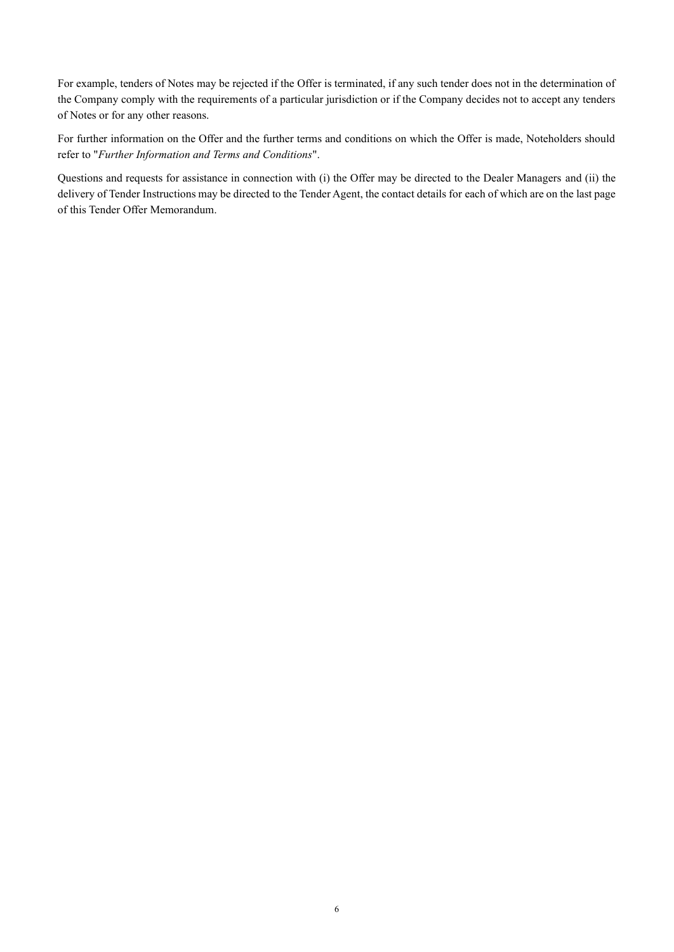For example, tenders of Notes may be rejected if the Offer is terminated, if any such tender does not in the determination of the Company comply with the requirements of a particular jurisdiction or if the Company decides not to accept any tenders of Notes or for any other reasons.

For further information on the Offer and the further terms and conditions on which the Offer is made, Noteholders should refer to "*Further Information and Terms and Conditions*".

Questions and requests for assistance in connection with (i) the Offer may be directed to the Dealer Managers and (ii) the delivery of Tender Instructions may be directed to the Tender Agent, the contact details for each of which are on the last page of this Tender Offer Memorandum.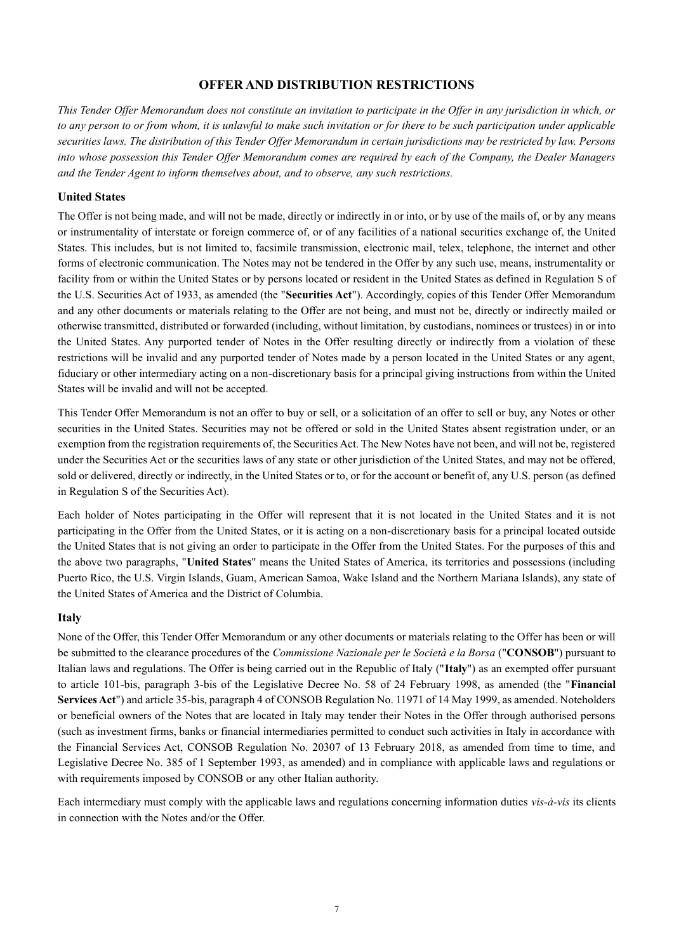## **OFFER AND DISTRIBUTION RESTRICTIONS**

*This Tender Offer Memorandum does not constitute an invitation to participate in the Offer in any jurisdiction in which, or to any person to or from whom, it is unlawful to make such invitation or for there to be such participation under applicable securities laws. The distribution of this Tender Offer Memorandum in certain jurisdictions may be restricted by law. Persons into whose possession this Tender Offer Memorandum comes are required by each of the Company, the Dealer Managers and the Tender Agent to inform themselves about, and to observe, any such restrictions.*

#### **United States**

The Offer is not being made, and will not be made, directly or indirectly in or into, or by use of the mails of, or by any means or instrumentality of interstate or foreign commerce of, or of any facilities of a national securities exchange of, the United States. This includes, but is not limited to, facsimile transmission, electronic mail, telex, telephone, the internet and other forms of electronic communication. The Notes may not be tendered in the Offer by any such use, means, instrumentality or facility from or within the United States or by persons located or resident in the United States as defined in Regulation S of the U.S. Securities Act of 1933, as amended (the "**Securities Act**"). Accordingly, copies of this Tender Offer Memorandum and any other documents or materials relating to the Offer are not being, and must not be, directly or indirectly mailed or otherwise transmitted, distributed or forwarded (including, without limitation, by custodians, nominees or trustees) in or into the United States. Any purported tender of Notes in the Offer resulting directly or indirectly from a violation of these restrictions will be invalid and any purported tender of Notes made by a person located in the United States or any agent, fiduciary or other intermediary acting on a non-discretionary basis for a principal giving instructions from within the United States will be invalid and will not be accepted.

This Tender Offer Memorandum is not an offer to buy or sell, or a solicitation of an offer to sell or buy, any Notes or other securities in the United States. Securities may not be offered or sold in the United States absent registration under, or an exemption from the registration requirements of, the Securities Act. The New Notes have not been, and will not be, registered under the Securities Act or the securities laws of any state or other jurisdiction of the United States, and may not be offered, sold or delivered, directly or indirectly, in the United States or to, or for the account or benefit of, any U.S. person (as defined in Regulation S of the Securities Act).

Each holder of Notes participating in the Offer will represent that it is not located in the United States and it is not participating in the Offer from the United States, or it is acting on a non-discretionary basis for a principal located outside the United States that is not giving an order to participate in the Offer from the United States. For the purposes of this and the above two paragraphs, "**United States**" means the United States of America, its territories and possessions (including Puerto Rico, the U.S. Virgin Islands, Guam, American Samoa, Wake Island and the Northern Mariana Islands), any state of the United States of America and the District of Columbia.

#### **Italy**

None of the Offer, this Tender Offer Memorandum or any other documents or materials relating to the Offer has been or will be submitted to the clearance procedures of the *Commissione Nazionale per le Società e la Borsa* ("**CONSOB**") pursuant to Italian laws and regulations. The Offer is being carried out in the Republic of Italy ("**Italy**") as an exempted offer pursuant to article 101-bis, paragraph 3-bis of the Legislative Decree No. 58 of 24 February 1998, as amended (the "**Financial Services Act**") and article 35-bis, paragraph 4 of CONSOB Regulation No. 11971 of 14 May 1999, as amended. Noteholders or beneficial owners of the Notes that are located in Italy may tender their Notes in the Offer through authorised persons (such as investment firms, banks or financial intermediaries permitted to conduct such activities in Italy in accordance with the Financial Services Act, CONSOB Regulation No. 20307 of 13 February 2018, as amended from time to time, and Legislative Decree No. 385 of 1 September 1993, as amended) and in compliance with applicable laws and regulations or with requirements imposed by CONSOB or any other Italian authority.

Each intermediary must comply with the applicable laws and regulations concerning information duties *vis-à-vis* its clients in connection with the Notes and/or the Offer.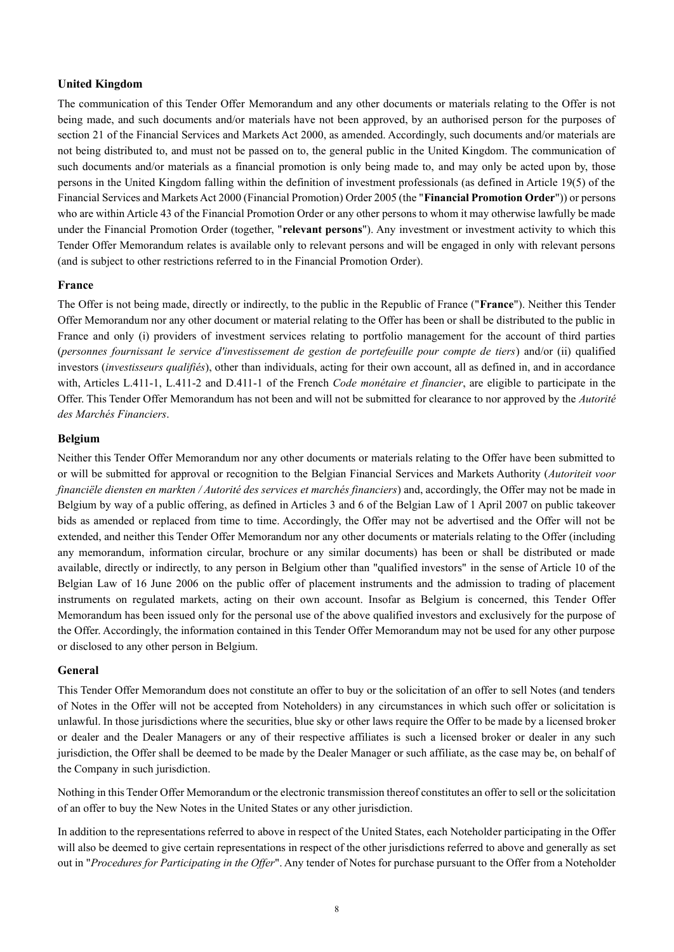### **United Kingdom**

The communication of this Tender Offer Memorandum and any other documents or materials relating to the Offer is not being made, and such documents and/or materials have not been approved, by an authorised person for the purposes of section 21 of the Financial Services and Markets Act 2000, as amended. Accordingly, such documents and/or materials are not being distributed to, and must not be passed on to, the general public in the United Kingdom. The communication of such documents and/or materials as a financial promotion is only being made to, and may only be acted upon by, those persons in the United Kingdom falling within the definition of investment professionals (as defined in Article 19(5) of the Financial Services and Markets Act 2000 (Financial Promotion) Order 2005 (the "**Financial Promotion Order**")) or persons who are within Article 43 of the Financial Promotion Order or any other persons to whom it may otherwise lawfully be made under the Financial Promotion Order (together, "**relevant persons**"). Any investment or investment activity to which this Tender Offer Memorandum relates is available only to relevant persons and will be engaged in only with relevant persons (and is subject to other restrictions referred to in the Financial Promotion Order).

#### **France**

The Offer is not being made, directly or indirectly, to the public in the Republic of France ("**France**"). Neither this Tender Offer Memorandum nor any other document or material relating to the Offer has been or shall be distributed to the public in France and only (i) providers of investment services relating to portfolio management for the account of third parties (*personnes fournissant le service d'investissement de gestion de portefeuille pour compte de tiers*) and/or (ii) qualified investors (*investisseurs qualifiés*), other than individuals, acting for their own account, all as defined in, and in accordance with, Articles L.411-1, L.411-2 and D.411-1 of the French *Code monétaire et financier*, are eligible to participate in the Offer. This Tender Offer Memorandum has not been and will not be submitted for clearance to nor approved by the *Autorité des Marchés Financiers*.

### **Belgium**

Neither this Tender Offer Memorandum nor any other documents or materials relating to the Offer have been submitted to or will be submitted for approval or recognition to the Belgian Financial Services and Markets Authority (*Autoriteit voor financiële diensten en markten / Autorité des services et marchés financiers*) and, accordingly, the Offer may not be made in Belgium by way of a public offering, as defined in Articles 3 and 6 of the Belgian Law of 1 April 2007 on public takeover bids as amended or replaced from time to time. Accordingly, the Offer may not be advertised and the Offer will not be extended, and neither this Tender Offer Memorandum nor any other documents or materials relating to the Offer (including any memorandum, information circular, brochure or any similar documents) has been or shall be distributed or made available, directly or indirectly, to any person in Belgium other than "qualified investors" in the sense of Article 10 of the Belgian Law of 16 June 2006 on the public offer of placement instruments and the admission to trading of placement instruments on regulated markets, acting on their own account. Insofar as Belgium is concerned, this Tender Offer Memorandum has been issued only for the personal use of the above qualified investors and exclusively for the purpose of the Offer. Accordingly, the information contained in this Tender Offer Memorandum may not be used for any other purpose or disclosed to any other person in Belgium.

#### **General**

This Tender Offer Memorandum does not constitute an offer to buy or the solicitation of an offer to sell Notes (and tenders of Notes in the Offer will not be accepted from Noteholders) in any circumstances in which such offer or solicitation is unlawful. In those jurisdictions where the securities, blue sky or other laws require the Offer to be made by a licensed broker or dealer and the Dealer Managers or any of their respective affiliates is such a licensed broker or dealer in any such jurisdiction, the Offer shall be deemed to be made by the Dealer Manager or such affiliate, as the case may be, on behalf of the Company in such jurisdiction.

Nothing in this Tender Offer Memorandum or the electronic transmission thereof constitutes an offer to sell or the solicitation of an offer to buy the New Notes in the United States or any other jurisdiction.

In addition to the representations referred to above in respect of the United States, each Noteholder participating in the Offer will also be deemed to give certain representations in respect of the other jurisdictions referred to above and generally as set out in "*Procedures for Participating in the Offer*". Any tender of Notes for purchase pursuant to the Offer from a Noteholder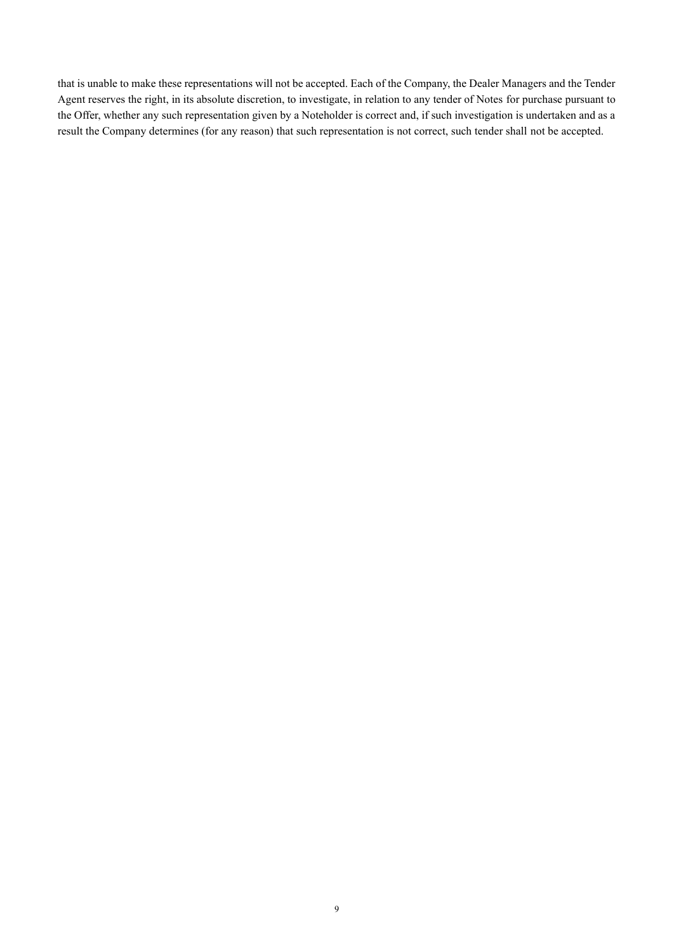that is unable to make these representations will not be accepted. Each of the Company, the Dealer Managers and the Tender Agent reserves the right, in its absolute discretion, to investigate, in relation to any tender of Notes for purchase pursuant to the Offer, whether any such representation given by a Noteholder is correct and, if such investigation is undertaken and as a result the Company determines (for any reason) that such representation is not correct, such tender shall not be accepted.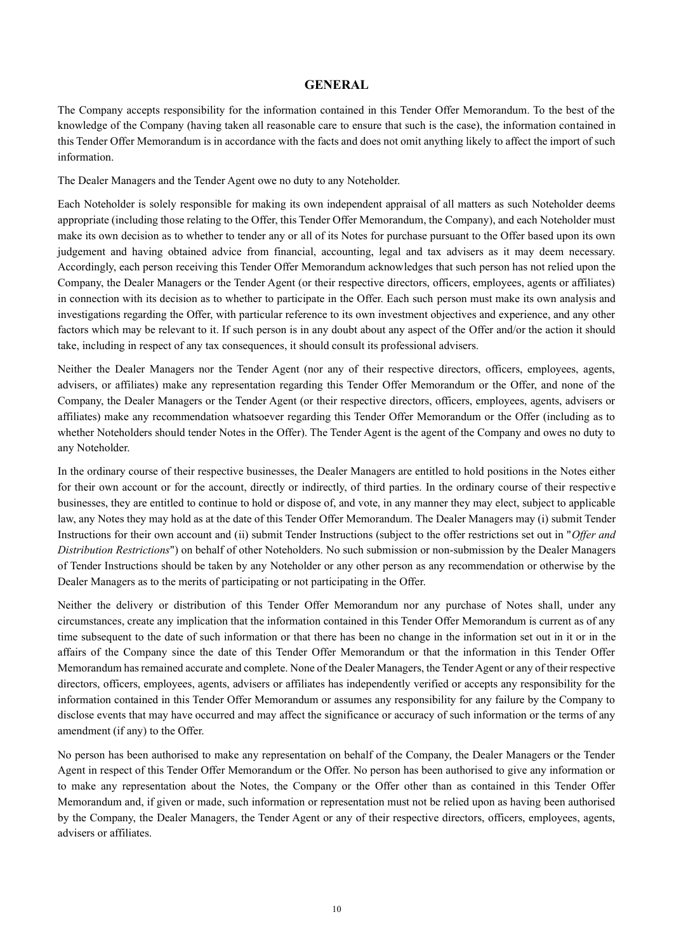## **GENERAL**

The Company accepts responsibility for the information contained in this Tender Offer Memorandum. To the best of the knowledge of the Company (having taken all reasonable care to ensure that such is the case), the information contained in this Tender Offer Memorandum is in accordance with the facts and does not omit anything likely to affect the import of such information.

The Dealer Managers and the Tender Agent owe no duty to any Noteholder.

Each Noteholder is solely responsible for making its own independent appraisal of all matters as such Noteholder deems appropriate (including those relating to the Offer, this Tender Offer Memorandum, the Company), and each Noteholder must make its own decision as to whether to tender any or all of its Notes for purchase pursuant to the Offer based upon its own judgement and having obtained advice from financial, accounting, legal and tax advisers as it may deem necessary. Accordingly, each person receiving this Tender Offer Memorandum acknowledges that such person has not relied upon the Company, the Dealer Managers or the Tender Agent (or their respective directors, officers, employees, agents or affiliates) in connection with its decision as to whether to participate in the Offer. Each such person must make its own analysis and investigations regarding the Offer, with particular reference to its own investment objectives and experience, and any other factors which may be relevant to it. If such person is in any doubt about any aspect of the Offer and/or the action it should take, including in respect of any tax consequences, it should consult its professional advisers.

Neither the Dealer Managers nor the Tender Agent (nor any of their respective directors, officers, employees, agents, advisers, or affiliates) make any representation regarding this Tender Offer Memorandum or the Offer, and none of the Company, the Dealer Managers or the Tender Agent (or their respective directors, officers, employees, agents, advisers or affiliates) make any recommendation whatsoever regarding this Tender Offer Memorandum or the Offer (including as to whether Noteholders should tender Notes in the Offer). The Tender Agent is the agent of the Company and owes no duty to any Noteholder.

In the ordinary course of their respective businesses, the Dealer Managers are entitled to hold positions in the Notes either for their own account or for the account, directly or indirectly, of third parties. In the ordinary course of their respective businesses, they are entitled to continue to hold or dispose of, and vote, in any manner they may elect, subject to applicable law, any Notes they may hold as at the date of this Tender Offer Memorandum. The Dealer Managers may (i) submit Tender Instructions for their own account and (ii) submit Tender Instructions (subject to the offer restrictions set out in "*Offer and Distribution Restrictions*") on behalf of other Noteholders. No such submission or non-submission by the Dealer Managers of Tender Instructions should be taken by any Noteholder or any other person as any recommendation or otherwise by the Dealer Managers as to the merits of participating or not participating in the Offer.

Neither the delivery or distribution of this Tender Offer Memorandum nor any purchase of Notes shall, under any circumstances, create any implication that the information contained in this Tender Offer Memorandum is current as of any time subsequent to the date of such information or that there has been no change in the information set out in it or in the affairs of the Company since the date of this Tender Offer Memorandum or that the information in this Tender Offer Memorandum has remained accurate and complete. None of the Dealer Managers, the Tender Agent or any of their respective directors, officers, employees, agents, advisers or affiliates has independently verified or accepts any responsibility for the information contained in this Tender Offer Memorandum or assumes any responsibility for any failure by the Company to disclose events that may have occurred and may affect the significance or accuracy of such information or the terms of any amendment (if any) to the Offer.

No person has been authorised to make any representation on behalf of the Company, the Dealer Managers or the Tender Agent in respect of this Tender Offer Memorandum or the Offer. No person has been authorised to give any information or to make any representation about the Notes, the Company or the Offer other than as contained in this Tender Offer Memorandum and, if given or made, such information or representation must not be relied upon as having been authorised by the Company, the Dealer Managers, the Tender Agent or any of their respective directors, officers, employees, agents, advisers or affiliates.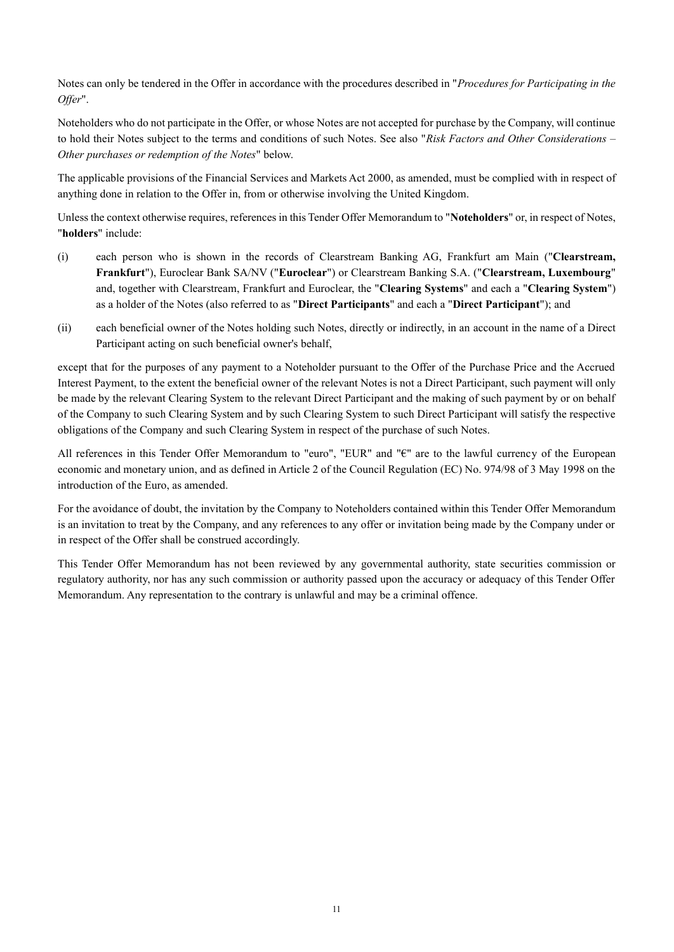Notes can only be tendered in the Offer in accordance with the procedures described in "*Procedures for Participating in the Offer*".

Noteholders who do not participate in the Offer, or whose Notes are not accepted for purchase by the Company, will continue to hold their Notes subject to the terms and conditions of such Notes. See also "*Risk Factors and Other Considerations – Other purchases or redemption of the Notes*" below.

The applicable provisions of the Financial Services and Markets Act 2000, as amended, must be complied with in respect of anything done in relation to the Offer in, from or otherwise involving the United Kingdom.

Unless the context otherwise requires, references in this Tender Offer Memorandum to "**Noteholders**" or, in respect of Notes, "**holders**" include:

- (i) each person who is shown in the records of Clearstream Banking AG, Frankfurt am Main ("**Clearstream, Frankfurt**"), Euroclear Bank SA/NV ("**Euroclear**") or Clearstream Banking S.A. ("**Clearstream, Luxembourg**" and, together with Clearstream, Frankfurt and Euroclear, the "**Clearing Systems**" and each a "**Clearing System**") as a holder of the Notes (also referred to as "**Direct Participants**" and each a "**Direct Participant**"); and
- (ii) each beneficial owner of the Notes holding such Notes, directly or indirectly, in an account in the name of a Direct Participant acting on such beneficial owner's behalf,

except that for the purposes of any payment to a Noteholder pursuant to the Offer of the Purchase Price and the Accrued Interest Payment, to the extent the beneficial owner of the relevant Notes is not a Direct Participant, such payment will only be made by the relevant Clearing System to the relevant Direct Participant and the making of such payment by or on behalf of the Company to such Clearing System and by such Clearing System to such Direct Participant will satisfy the respective obligations of the Company and such Clearing System in respect of the purchase of such Notes.

All references in this Tender Offer Memorandum to "euro", "EUR" and "€" are to the lawful currency of the European economic and monetary union, and as defined in Article 2 of the Council Regulation (EC) No. 974/98 of 3 May 1998 on the introduction of the Euro, as amended.

For the avoidance of doubt, the invitation by the Company to Noteholders contained within this Tender Offer Memorandum is an invitation to treat by the Company, and any references to any offer or invitation being made by the Company under or in respect of the Offer shall be construed accordingly.

This Tender Offer Memorandum has not been reviewed by any governmental authority, state securities commission or regulatory authority, nor has any such commission or authority passed upon the accuracy or adequacy of this Tender Offer Memorandum. Any representation to the contrary is unlawful and may be a criminal offence.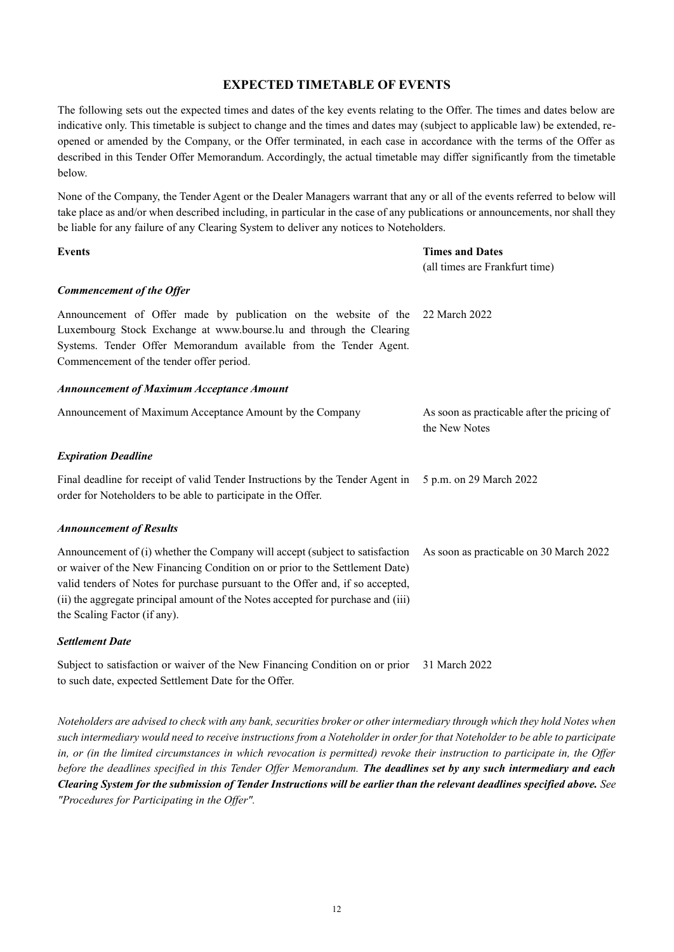## **EXPECTED TIMETABLE OF EVENTS**

The following sets out the expected times and dates of the key events relating to the Offer. The times and dates below are indicative only. This timetable is subject to change and the times and dates may (subject to applicable law) be extended, reopened or amended by the Company, or the Offer terminated, in each case in accordance with the terms of the Offer as described in this Tender Offer Memorandum. Accordingly, the actual timetable may differ significantly from the timetable below.

None of the Company, the Tender Agent or the Dealer Managers warrant that any or all of the events referred to below will take place as and/or when described including, in particular in the case of any publications or announcements, nor shall they be liable for any failure of any Clearing System to deliver any notices to Noteholders.

| <b>Events</b>                                                                                                                                                                                                                                                                                                                                                      | <b>Times and Dates</b><br>(all times are Frankfurt time)     |
|--------------------------------------------------------------------------------------------------------------------------------------------------------------------------------------------------------------------------------------------------------------------------------------------------------------------------------------------------------------------|--------------------------------------------------------------|
| <b>Commencement of the Offer</b>                                                                                                                                                                                                                                                                                                                                   |                                                              |
| Announcement of Offer made by publication on the website of the 22 March 2022<br>Luxembourg Stock Exchange at www.bourse.lu and through the Clearing<br>Systems. Tender Offer Memorandum available from the Tender Agent.<br>Commencement of the tender offer period.                                                                                              |                                                              |
| <b>Announcement of Maximum Acceptance Amount</b>                                                                                                                                                                                                                                                                                                                   |                                                              |
| Announcement of Maximum Acceptance Amount by the Company                                                                                                                                                                                                                                                                                                           | As soon as practicable after the pricing of<br>the New Notes |
| <b>Expiration Deadline</b>                                                                                                                                                                                                                                                                                                                                         |                                                              |
| Final deadline for receipt of valid Tender Instructions by the Tender Agent in 5 p.m. on 29 March 2022<br>order for Noteholders to be able to participate in the Offer.                                                                                                                                                                                            |                                                              |
| <b>Announcement of Results</b>                                                                                                                                                                                                                                                                                                                                     |                                                              |
| Announcement of (i) whether the Company will accept (subject to satisfaction<br>or waiver of the New Financing Condition on or prior to the Settlement Date)<br>valid tenders of Notes for purchase pursuant to the Offer and, if so accepted,<br>(ii) the aggregate principal amount of the Notes accepted for purchase and (iii)<br>the Scaling Factor (if any). | As soon as practicable on 30 March 2022                      |
| <b>Settlement Date</b>                                                                                                                                                                                                                                                                                                                                             |                                                              |

Subject to satisfaction or waiver of the New Financing Condition on or prior 31 March 2022 to such date, expected Settlement Date for the Offer.

*Noteholders are advised to check with any bank, securities broker or other intermediary through which they hold Notes when such intermediary would need to receive instructions from a Noteholder in order for that Noteholder to be able to participate in, or (in the limited circumstances in which revocation is permitted) revoke their instruction to participate in, the Offer before the deadlines specified in this Tender Offer Memorandum. The deadlines set by any such intermediary and each Clearing System for the submission of Tender Instructions will be earlier than the relevant deadlines specified above. See "Procedures for Participating in the Offer".*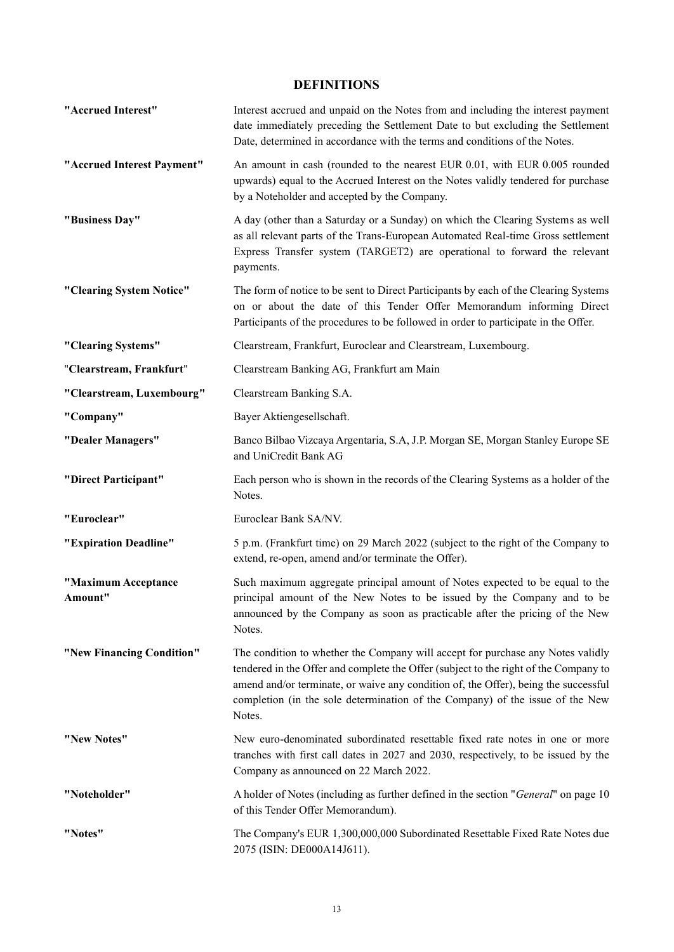## **DEFINITIONS**

| "Accrued Interest"             | Interest accrued and unpaid on the Notes from and including the interest payment<br>date immediately preceding the Settlement Date to but excluding the Settlement<br>Date, determined in accordance with the terms and conditions of the Notes.                                                                                                          |
|--------------------------------|-----------------------------------------------------------------------------------------------------------------------------------------------------------------------------------------------------------------------------------------------------------------------------------------------------------------------------------------------------------|
| "Accrued Interest Payment"     | An amount in cash (rounded to the nearest EUR 0.01, with EUR 0.005 rounded<br>upwards) equal to the Accrued Interest on the Notes validly tendered for purchase<br>by a Noteholder and accepted by the Company.                                                                                                                                           |
| "Business Day"                 | A day (other than a Saturday or a Sunday) on which the Clearing Systems as well<br>as all relevant parts of the Trans-European Automated Real-time Gross settlement<br>Express Transfer system (TARGET2) are operational to forward the relevant<br>payments.                                                                                             |
| "Clearing System Notice"       | The form of notice to be sent to Direct Participants by each of the Clearing Systems<br>on or about the date of this Tender Offer Memorandum informing Direct<br>Participants of the procedures to be followed in order to participate in the Offer.                                                                                                      |
| "Clearing Systems"             | Clearstream, Frankfurt, Euroclear and Clearstream, Luxembourg.                                                                                                                                                                                                                                                                                            |
| "Clearstream, Frankfurt"       | Clearstream Banking AG, Frankfurt am Main                                                                                                                                                                                                                                                                                                                 |
| "Clearstream, Luxembourg"      | Clearstream Banking S.A.                                                                                                                                                                                                                                                                                                                                  |
| "Company"                      | Bayer Aktiengesellschaft.                                                                                                                                                                                                                                                                                                                                 |
| "Dealer Managers"              | Banco Bilbao Vizcaya Argentaria, S.A, J.P. Morgan SE, Morgan Stanley Europe SE<br>and UniCredit Bank AG                                                                                                                                                                                                                                                   |
| "Direct Participant"           | Each person who is shown in the records of the Clearing Systems as a holder of the<br>Notes.                                                                                                                                                                                                                                                              |
| "Euroclear"                    | Euroclear Bank SA/NV.                                                                                                                                                                                                                                                                                                                                     |
| "Expiration Deadline"          | 5 p.m. (Frankfurt time) on 29 March 2022 (subject to the right of the Company to<br>extend, re-open, amend and/or terminate the Offer).                                                                                                                                                                                                                   |
| "Maximum Acceptance<br>Amount" | Such maximum aggregate principal amount of Notes expected to be equal to the<br>principal amount of the New Notes to be issued by the Company and to be<br>announced by the Company as soon as practicable after the pricing of the New<br>Notes.                                                                                                         |
| "New Financing Condition"      | The condition to whether the Company will accept for purchase any Notes validly<br>tendered in the Offer and complete the Offer (subject to the right of the Company to<br>amend and/or terminate, or waive any condition of, the Offer), being the successful<br>completion (in the sole determination of the Company) of the issue of the New<br>Notes. |
| "New Notes"                    | New euro-denominated subordinated resettable fixed rate notes in one or more<br>tranches with first call dates in 2027 and 2030, respectively, to be issued by the<br>Company as announced on 22 March 2022.                                                                                                                                              |
| "Noteholder"                   | A holder of Notes (including as further defined in the section "General" on page 10<br>of this Tender Offer Memorandum).                                                                                                                                                                                                                                  |
| "Notes"                        | The Company's EUR 1,300,000,000 Subordinated Resettable Fixed Rate Notes due<br>2075 (ISIN: DE000A14J611).                                                                                                                                                                                                                                                |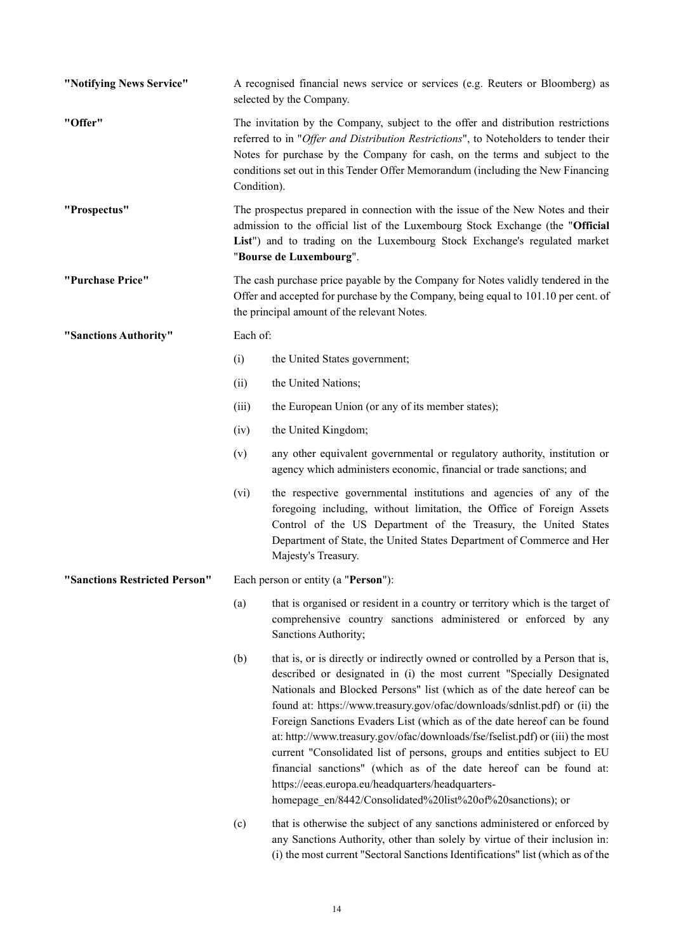| "Notifying News Service"      |                                                                                                                                                                                                                                                                           | A recognised financial news service or services (e.g. Reuters or Bloomberg) as<br>selected by the Company.                                                                                                                                                                                                                                                                                                                                                                                                                                                                                                                                                                                                                                         |  |  |
|-------------------------------|---------------------------------------------------------------------------------------------------------------------------------------------------------------------------------------------------------------------------------------------------------------------------|----------------------------------------------------------------------------------------------------------------------------------------------------------------------------------------------------------------------------------------------------------------------------------------------------------------------------------------------------------------------------------------------------------------------------------------------------------------------------------------------------------------------------------------------------------------------------------------------------------------------------------------------------------------------------------------------------------------------------------------------------|--|--|
| "Offer"                       |                                                                                                                                                                                                                                                                           | The invitation by the Company, subject to the offer and distribution restrictions<br>referred to in "Offer and Distribution Restrictions", to Noteholders to tender their<br>Notes for purchase by the Company for cash, on the terms and subject to the<br>conditions set out in this Tender Offer Memorandum (including the New Financing<br>Condition).                                                                                                                                                                                                                                                                                                                                                                                         |  |  |
| "Prospectus"                  | The prospectus prepared in connection with the issue of the New Notes and their<br>admission to the official list of the Luxembourg Stock Exchange (the "Official<br>List") and to trading on the Luxembourg Stock Exchange's regulated market<br>"Bourse de Luxembourg". |                                                                                                                                                                                                                                                                                                                                                                                                                                                                                                                                                                                                                                                                                                                                                    |  |  |
| "Purchase Price"              | The cash purchase price payable by the Company for Notes validly tendered in the<br>Offer and accepted for purchase by the Company, being equal to 101.10 per cent. of<br>the principal amount of the relevant Notes.                                                     |                                                                                                                                                                                                                                                                                                                                                                                                                                                                                                                                                                                                                                                                                                                                                    |  |  |
| "Sanctions Authority"         | Each of:                                                                                                                                                                                                                                                                  |                                                                                                                                                                                                                                                                                                                                                                                                                                                                                                                                                                                                                                                                                                                                                    |  |  |
|                               | (i)                                                                                                                                                                                                                                                                       | the United States government;                                                                                                                                                                                                                                                                                                                                                                                                                                                                                                                                                                                                                                                                                                                      |  |  |
|                               | (ii)                                                                                                                                                                                                                                                                      | the United Nations;                                                                                                                                                                                                                                                                                                                                                                                                                                                                                                                                                                                                                                                                                                                                |  |  |
|                               | (iii)                                                                                                                                                                                                                                                                     | the European Union (or any of its member states);                                                                                                                                                                                                                                                                                                                                                                                                                                                                                                                                                                                                                                                                                                  |  |  |
|                               | (iv)                                                                                                                                                                                                                                                                      | the United Kingdom;                                                                                                                                                                                                                                                                                                                                                                                                                                                                                                                                                                                                                                                                                                                                |  |  |
|                               | (v)                                                                                                                                                                                                                                                                       | any other equivalent governmental or regulatory authority, institution or<br>agency which administers economic, financial or trade sanctions; and                                                                                                                                                                                                                                                                                                                                                                                                                                                                                                                                                                                                  |  |  |
|                               | (vi)                                                                                                                                                                                                                                                                      | the respective governmental institutions and agencies of any of the<br>foregoing including, without limitation, the Office of Foreign Assets<br>Control of the US Department of the Treasury, the United States<br>Department of State, the United States Department of Commerce and Her<br>Majesty's Treasury.                                                                                                                                                                                                                                                                                                                                                                                                                                    |  |  |
| "Sanctions Restricted Person" | Each person or entity (a "Person"):                                                                                                                                                                                                                                       |                                                                                                                                                                                                                                                                                                                                                                                                                                                                                                                                                                                                                                                                                                                                                    |  |  |
|                               | (a)                                                                                                                                                                                                                                                                       | that is organised or resident in a country or territory which is the target of<br>comprehensive country sanctions administered or enforced by any<br>Sanctions Authority;                                                                                                                                                                                                                                                                                                                                                                                                                                                                                                                                                                          |  |  |
|                               | (b)                                                                                                                                                                                                                                                                       | that is, or is directly or indirectly owned or controlled by a Person that is,<br>described or designated in (i) the most current "Specially Designated<br>Nationals and Blocked Persons" list (which as of the date hereof can be<br>found at: https://www.treasury.gov/ofac/downloads/sdnlist.pdf) or (ii) the<br>Foreign Sanctions Evaders List (which as of the date hereof can be found<br>at: http://www.treasury.gov/ofac/downloads/fse/fselist.pdf) or (iii) the most<br>current "Consolidated list of persons, groups and entities subject to EU<br>financial sanctions" (which as of the date hereof can be found at:<br>https://eeas.europa.eu/headquarters/headquarters-<br>homepage_en/8442/Consolidated%20list%20of%20sanctions); or |  |  |
|                               | (c)                                                                                                                                                                                                                                                                       | that is otherwise the subject of any sanctions administered or enforced by<br>any Sanctions Authority, other than solely by virtue of their inclusion in:<br>(i) the most current "Sectoral Sanctions Identifications" list (which as of the                                                                                                                                                                                                                                                                                                                                                                                                                                                                                                       |  |  |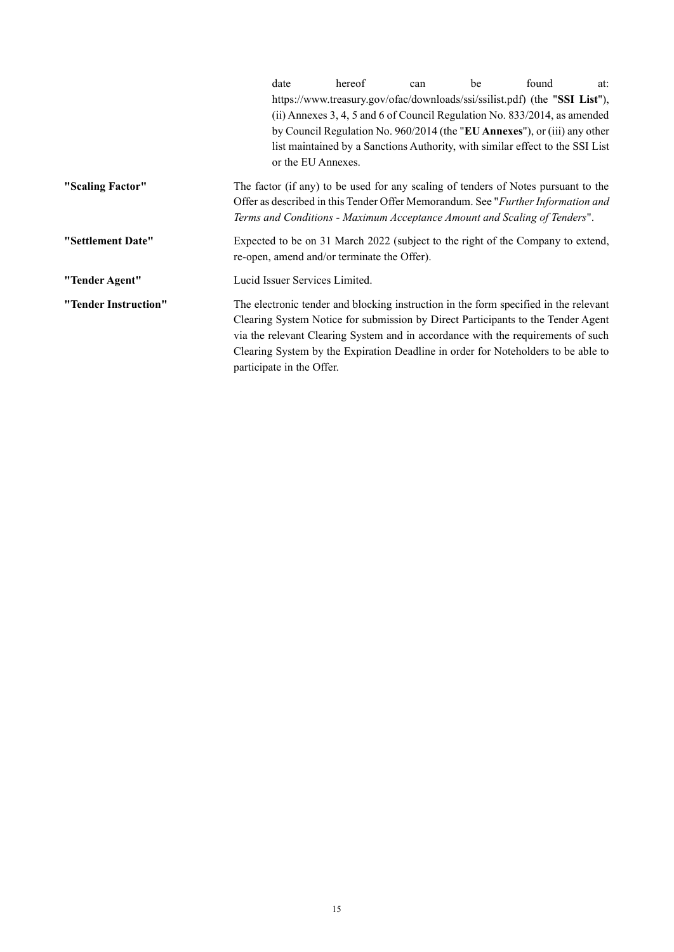|                      | date                                                                                                                                                                                                                                                                                                                                                                           | hereof                                                                                                                                                    | can | be | found | at: |  |
|----------------------|--------------------------------------------------------------------------------------------------------------------------------------------------------------------------------------------------------------------------------------------------------------------------------------------------------------------------------------------------------------------------------|-----------------------------------------------------------------------------------------------------------------------------------------------------------|-----|----|-------|-----|--|
|                      |                                                                                                                                                                                                                                                                                                                                                                                | https://www.treasury.gov/ofac/downloads/ssi/ssilist.pdf) (the "SSI List"),                                                                                |     |    |       |     |  |
|                      |                                                                                                                                                                                                                                                                                                                                                                                | (ii) Annexes 3, 4, 5 and 6 of Council Regulation No. $833/2014$ , as amended<br>by Council Regulation No. 960/2014 (the "EU Annexes"), or (iii) any other |     |    |       |     |  |
|                      |                                                                                                                                                                                                                                                                                                                                                                                |                                                                                                                                                           |     |    |       |     |  |
|                      |                                                                                                                                                                                                                                                                                                                                                                                | list maintained by a Sanctions Authority, with similar effect to the SSI List                                                                             |     |    |       |     |  |
|                      |                                                                                                                                                                                                                                                                                                                                                                                | or the EU Annexes.                                                                                                                                        |     |    |       |     |  |
| "Scaling Factor"     | The factor (if any) to be used for any scaling of tenders of Notes pursuant to the<br>Offer as described in this Tender Offer Memorandum. See "Further Information and<br>Terms and Conditions - Maximum Acceptance Amount and Scaling of Tenders".                                                                                                                            |                                                                                                                                                           |     |    |       |     |  |
| "Settlement Date"    | Expected to be on 31 March 2022 (subject to the right of the Company to extend,<br>re-open, amend and/or terminate the Offer).                                                                                                                                                                                                                                                 |                                                                                                                                                           |     |    |       |     |  |
| "Tender Agent"       | Lucid Issuer Services Limited.                                                                                                                                                                                                                                                                                                                                                 |                                                                                                                                                           |     |    |       |     |  |
| "Tender Instruction" | The electronic tender and blocking instruction in the form specified in the relevant<br>Clearing System Notice for submission by Direct Participants to the Tender Agent<br>via the relevant Clearing System and in accordance with the requirements of such<br>Clearing System by the Expiration Deadline in order for Noteholders to be able to<br>participate in the Offer. |                                                                                                                                                           |     |    |       |     |  |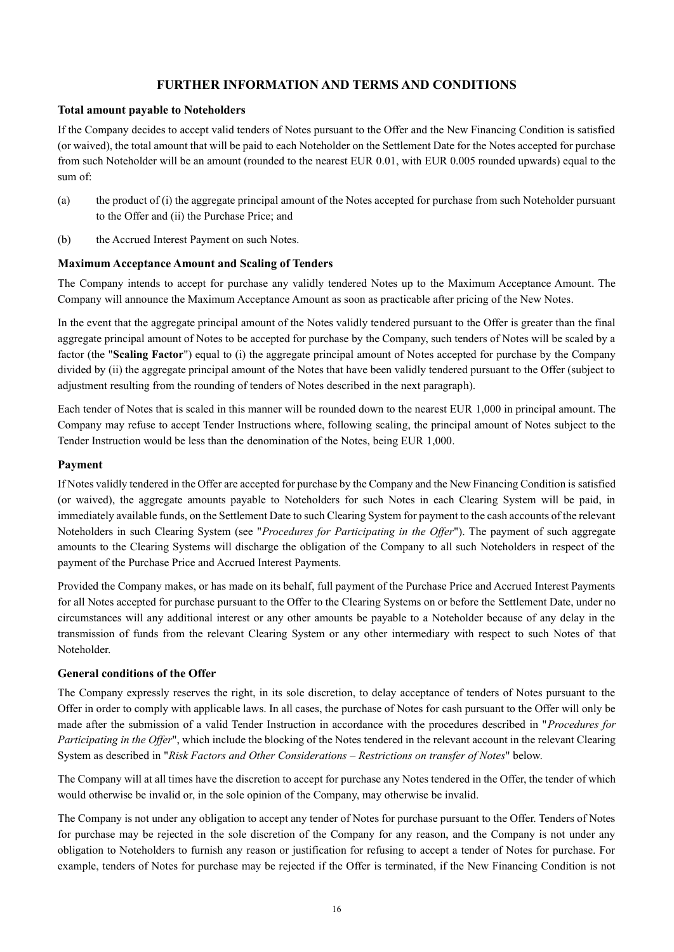## **FURTHER INFORMATION AND TERMS AND CONDITIONS**

### **Total amount payable to Noteholders**

If the Company decides to accept valid tenders of Notes pursuant to the Offer and the New Financing Condition is satisfied (or waived), the total amount that will be paid to each Noteholder on the Settlement Date for the Notes accepted for purchase from such Noteholder will be an amount (rounded to the nearest EUR 0.01, with EUR 0.005 rounded upwards) equal to the sum of:

- (a) the product of (i) the aggregate principal amount of the Notes accepted for purchase from such Noteholder pursuant to the Offer and (ii) the Purchase Price; and
- (b) the Accrued Interest Payment on such Notes.

### **Maximum Acceptance Amount and Scaling of Tenders**

The Company intends to accept for purchase any validly tendered Notes up to the Maximum Acceptance Amount. The Company will announce the Maximum Acceptance Amount as soon as practicable after pricing of the New Notes.

In the event that the aggregate principal amount of the Notes validly tendered pursuant to the Offer is greater than the final aggregate principal amount of Notes to be accepted for purchase by the Company, such tenders of Notes will be scaled by a factor (the "**Scaling Factor**") equal to (i) the aggregate principal amount of Notes accepted for purchase by the Company divided by (ii) the aggregate principal amount of the Notes that have been validly tendered pursuant to the Offer (subject to adjustment resulting from the rounding of tenders of Notes described in the next paragraph).

Each tender of Notes that is scaled in this manner will be rounded down to the nearest EUR 1,000 in principal amount. The Company may refuse to accept Tender Instructions where, following scaling, the principal amount of Notes subject to the Tender Instruction would be less than the denomination of the Notes, being EUR 1,000.

### **Payment**

If Notes validly tendered in the Offer are accepted for purchase by the Company and the New Financing Condition is satisfied (or waived), the aggregate amounts payable to Noteholders for such Notes in each Clearing System will be paid, in immediately available funds, on the Settlement Date to such Clearing System for payment to the cash accounts of the relevant Noteholders in such Clearing System (see "*Procedures for Participating in the Offer*"). The payment of such aggregate amounts to the Clearing Systems will discharge the obligation of the Company to all such Noteholders in respect of the payment of the Purchase Price and Accrued Interest Payments.

Provided the Company makes, or has made on its behalf, full payment of the Purchase Price and Accrued Interest Payments for all Notes accepted for purchase pursuant to the Offer to the Clearing Systems on or before the Settlement Date, under no circumstances will any additional interest or any other amounts be payable to a Noteholder because of any delay in the transmission of funds from the relevant Clearing System or any other intermediary with respect to such Notes of that Noteholder.

## **General conditions of the Offer**

The Company expressly reserves the right, in its sole discretion, to delay acceptance of tenders of Notes pursuant to the Offer in order to comply with applicable laws. In all cases, the purchase of Notes for cash pursuant to the Offer will only be made after the submission of a valid Tender Instruction in accordance with the procedures described in "*Procedures for Participating in the Offer*", which include the blocking of the Notes tendered in the relevant account in the relevant Clearing System as described in "*Risk Factors and Other Considerations – Restrictions on transfer of Notes*" below.

The Company will at all times have the discretion to accept for purchase any Notes tendered in the Offer, the tender of which would otherwise be invalid or, in the sole opinion of the Company, may otherwise be invalid.

The Company is not under any obligation to accept any tender of Notes for purchase pursuant to the Offer. Tenders of Notes for purchase may be rejected in the sole discretion of the Company for any reason, and the Company is not under any obligation to Noteholders to furnish any reason or justification for refusing to accept a tender of Notes for purchase. For example, tenders of Notes for purchase may be rejected if the Offer is terminated, if the New Financing Condition is not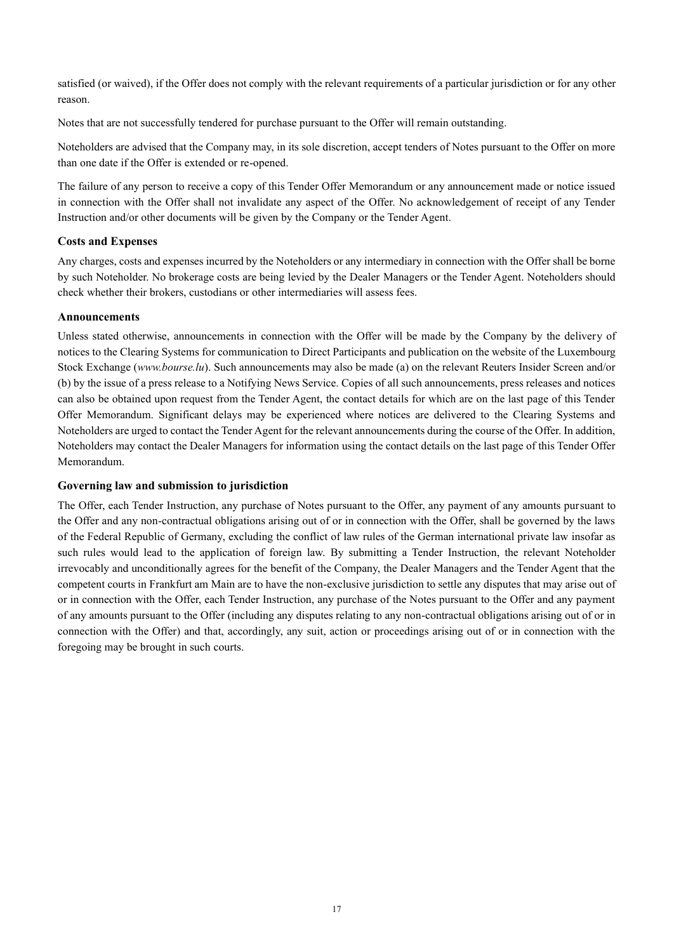satisfied (or waived), if the Offer does not comply with the relevant requirements of a particular jurisdiction or for any other reason.

Notes that are not successfully tendered for purchase pursuant to the Offer will remain outstanding.

Noteholders are advised that the Company may, in its sole discretion, accept tenders of Notes pursuant to the Offer on more than one date if the Offer is extended or re-opened.

The failure of any person to receive a copy of this Tender Offer Memorandum or any announcement made or notice issued in connection with the Offer shall not invalidate any aspect of the Offer. No acknowledgement of receipt of any Tender Instruction and/or other documents will be given by the Company or the Tender Agent.

## **Costs and Expenses**

Any charges, costs and expenses incurred by the Noteholders or any intermediary in connection with the Offer shall be borne by such Noteholder. No brokerage costs are being levied by the Dealer Managers or the Tender Agent. Noteholders should check whether their brokers, custodians or other intermediaries will assess fees.

### **Announcements**

Unless stated otherwise, announcements in connection with the Offer will be made by the Company by the delivery of notices to the Clearing Systems for communication to Direct Participants and publication on the website of the Luxembourg Stock Exchange (*www.bourse.lu*). Such announcements may also be made (a) on the relevant Reuters Insider Screen and/or (b) by the issue of a press release to a Notifying News Service. Copies of all such announcements, press releases and notices can also be obtained upon request from the Tender Agent, the contact details for which are on the last page of this Tender Offer Memorandum. Significant delays may be experienced where notices are delivered to the Clearing Systems and Noteholders are urged to contact the Tender Agent for the relevant announcements during the course of the Offer. In addition, Noteholders may contact the Dealer Managers for information using the contact details on the last page of this Tender Offer Memorandum.

## **Governing law and submission to jurisdiction**

The Offer, each Tender Instruction, any purchase of Notes pursuant to the Offer, any payment of any amounts pursuant to the Offer and any non-contractual obligations arising out of or in connection with the Offer, shall be governed by the laws of the Federal Republic of Germany, excluding the conflict of law rules of the German international private law insofar as such rules would lead to the application of foreign law. By submitting a Tender Instruction, the relevant Noteholder irrevocably and unconditionally agrees for the benefit of the Company, the Dealer Managers and the Tender Agent that the competent courts in Frankfurt am Main are to have the non-exclusive jurisdiction to settle any disputes that may arise out of or in connection with the Offer, each Tender Instruction, any purchase of the Notes pursuant to the Offer and any payment of any amounts pursuant to the Offer (including any disputes relating to any non-contractual obligations arising out of or in connection with the Offer) and that, accordingly, any suit, action or proceedings arising out of or in connection with the foregoing may be brought in such courts.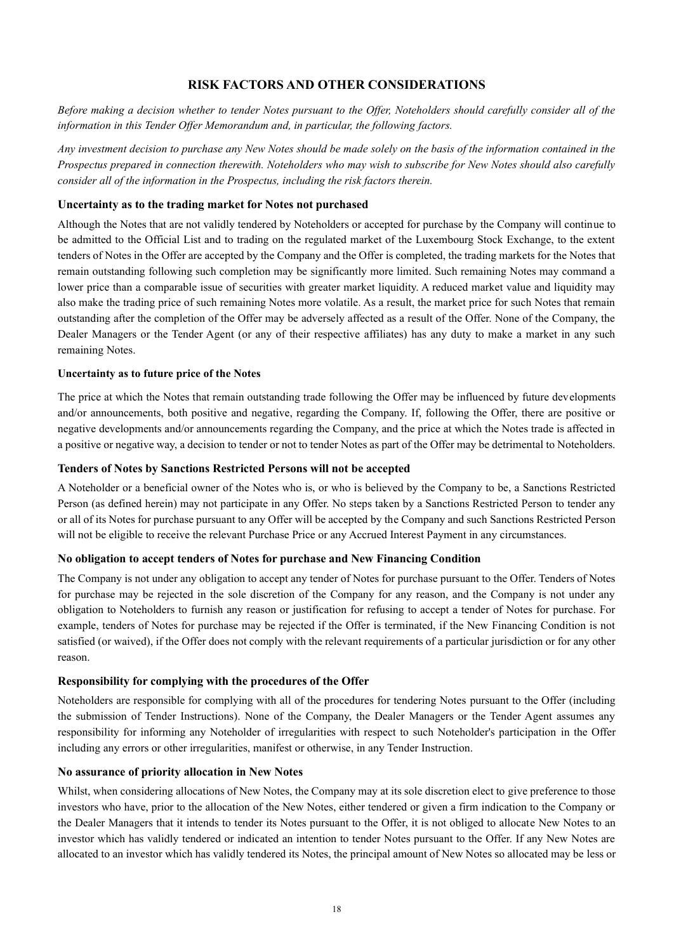## **RISK FACTORS AND OTHER CONSIDERATIONS**

*Before making a decision whether to tender Notes pursuant to the Offer, Noteholders should carefully consider all of the information in this Tender Offer Memorandum and, in particular, the following factors.*

*Any investment decision to purchase any New Notes should be made solely on the basis of the information contained in the Prospectus prepared in connection therewith. Noteholders who may wish to subscribe for New Notes should also carefully consider all of the information in the Prospectus, including the risk factors therein.*

## **Uncertainty as to the trading market for Notes not purchased**

Although the Notes that are not validly tendered by Noteholders or accepted for purchase by the Company will continue to be admitted to the Official List and to trading on the regulated market of the Luxembourg Stock Exchange, to the extent tenders of Notes in the Offer are accepted by the Company and the Offer is completed, the trading markets for the Notes that remain outstanding following such completion may be significantly more limited. Such remaining Notes may command a lower price than a comparable issue of securities with greater market liquidity. A reduced market value and liquidity may also make the trading price of such remaining Notes more volatile. As a result, the market price for such Notes that remain outstanding after the completion of the Offer may be adversely affected as a result of the Offer. None of the Company, the Dealer Managers or the Tender Agent (or any of their respective affiliates) has any duty to make a market in any such remaining Notes.

#### **Uncertainty as to future price of the Notes**

The price at which the Notes that remain outstanding trade following the Offer may be influenced by future developments and/or announcements, both positive and negative, regarding the Company. If, following the Offer, there are positive or negative developments and/or announcements regarding the Company, and the price at which the Notes trade is affected in a positive or negative way, a decision to tender or not to tender Notes as part of the Offer may be detrimental to Noteholders.

### **Tenders of Notes by Sanctions Restricted Persons will not be accepted**

A Noteholder or a beneficial owner of the Notes who is, or who is believed by the Company to be, a Sanctions Restricted Person (as defined herein) may not participate in any Offer. No steps taken by a Sanctions Restricted Person to tender any or all of its Notes for purchase pursuant to any Offer will be accepted by the Company and such Sanctions Restricted Person will not be eligible to receive the relevant Purchase Price or any Accrued Interest Payment in any circumstances.

#### **No obligation to accept tenders of Notes for purchase and New Financing Condition**

The Company is not under any obligation to accept any tender of Notes for purchase pursuant to the Offer. Tenders of Notes for purchase may be rejected in the sole discretion of the Company for any reason, and the Company is not under any obligation to Noteholders to furnish any reason or justification for refusing to accept a tender of Notes for purchase. For example, tenders of Notes for purchase may be rejected if the Offer is terminated, if the New Financing Condition is not satisfied (or waived), if the Offer does not comply with the relevant requirements of a particular jurisdiction or for any other reason.

## **Responsibility for complying with the procedures of the Offer**

Noteholders are responsible for complying with all of the procedures for tendering Notes pursuant to the Offer (including the submission of Tender Instructions). None of the Company, the Dealer Managers or the Tender Agent assumes any responsibility for informing any Noteholder of irregularities with respect to such Noteholder's participation in the Offer including any errors or other irregularities, manifest or otherwise, in any Tender Instruction.

## **No assurance of priority allocation in New Notes**

Whilst, when considering allocations of New Notes, the Company may at its sole discretion elect to give preference to those investors who have, prior to the allocation of the New Notes, either tendered or given a firm indication to the Company or the Dealer Managers that it intends to tender its Notes pursuant to the Offer, it is not obliged to allocate New Notes to an investor which has validly tendered or indicated an intention to tender Notes pursuant to the Offer. If any New Notes are allocated to an investor which has validly tendered its Notes, the principal amount of New Notes so allocated may be less or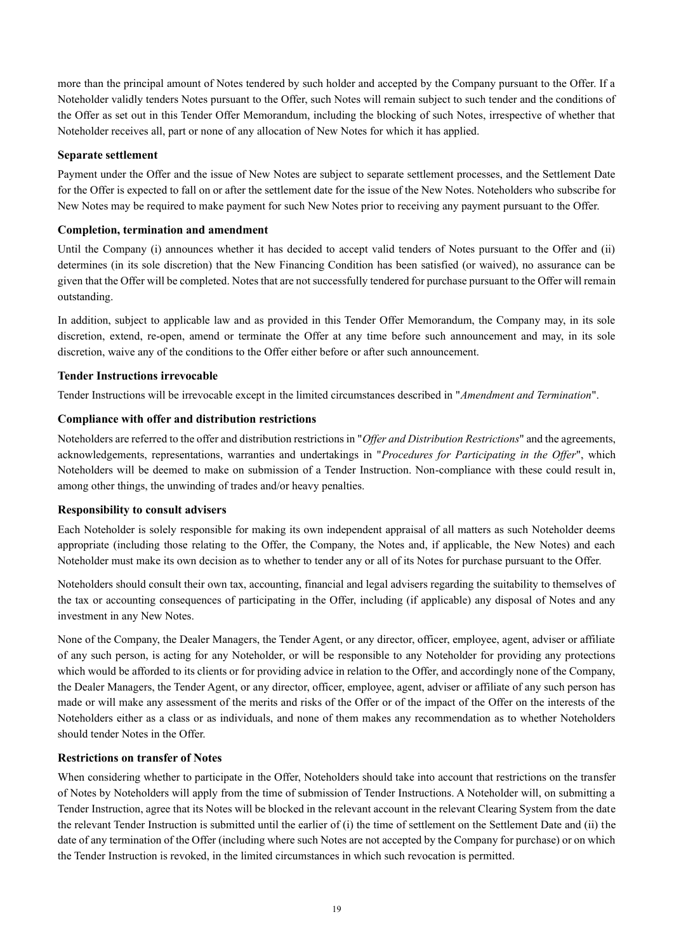more than the principal amount of Notes tendered by such holder and accepted by the Company pursuant to the Offer. If a Noteholder validly tenders Notes pursuant to the Offer, such Notes will remain subject to such tender and the conditions of the Offer as set out in this Tender Offer Memorandum, including the blocking of such Notes, irrespective of whether that Noteholder receives all, part or none of any allocation of New Notes for which it has applied.

### **Separate settlement**

Payment under the Offer and the issue of New Notes are subject to separate settlement processes, and the Settlement Date for the Offer is expected to fall on or after the settlement date for the issue of the New Notes. Noteholders who subscribe for New Notes may be required to make payment for such New Notes prior to receiving any payment pursuant to the Offer.

#### **Completion, termination and amendment**

Until the Company (i) announces whether it has decided to accept valid tenders of Notes pursuant to the Offer and (ii) determines (in its sole discretion) that the New Financing Condition has been satisfied (or waived), no assurance can be given that the Offer will be completed. Notes that are not successfully tendered for purchase pursuant to the Offer will remain outstanding.

In addition, subject to applicable law and as provided in this Tender Offer Memorandum, the Company may, in its sole discretion, extend, re-open, amend or terminate the Offer at any time before such announcement and may, in its sole discretion, waive any of the conditions to the Offer either before or after such announcement.

### **Tender Instructions irrevocable**

Tender Instructions will be irrevocable except in the limited circumstances described in "*Amendment and Termination*".

### **Compliance with offer and distribution restrictions**

Noteholders are referred to the offer and distribution restrictions in "*Offer and Distribution Restrictions*" and the agreements, acknowledgements, representations, warranties and undertakings in "*Procedures for Participating in the Offer*", which Noteholders will be deemed to make on submission of a Tender Instruction. Non-compliance with these could result in, among other things, the unwinding of trades and/or heavy penalties.

#### **Responsibility to consult advisers**

Each Noteholder is solely responsible for making its own independent appraisal of all matters as such Noteholder deems appropriate (including those relating to the Offer, the Company, the Notes and, if applicable, the New Notes) and each Noteholder must make its own decision as to whether to tender any or all of its Notes for purchase pursuant to the Offer.

Noteholders should consult their own tax, accounting, financial and legal advisers regarding the suitability to themselves of the tax or accounting consequences of participating in the Offer, including (if applicable) any disposal of Notes and any investment in any New Notes.

None of the Company, the Dealer Managers, the Tender Agent, or any director, officer, employee, agent, adviser or affiliate of any such person, is acting for any Noteholder, or will be responsible to any Noteholder for providing any protections which would be afforded to its clients or for providing advice in relation to the Offer, and accordingly none of the Company, the Dealer Managers, the Tender Agent, or any director, officer, employee, agent, adviser or affiliate of any such person has made or will make any assessment of the merits and risks of the Offer or of the impact of the Offer on the interests of the Noteholders either as a class or as individuals, and none of them makes any recommendation as to whether Noteholders should tender Notes in the Offer.

#### **Restrictions on transfer of Notes**

When considering whether to participate in the Offer, Noteholders should take into account that restrictions on the transfer of Notes by Noteholders will apply from the time of submission of Tender Instructions. A Noteholder will, on submitting a Tender Instruction, agree that its Notes will be blocked in the relevant account in the relevant Clearing System from the date the relevant Tender Instruction is submitted until the earlier of (i) the time of settlement on the Settlement Date and (ii) the date of any termination of the Offer (including where such Notes are not accepted by the Company for purchase) or on which the Tender Instruction is revoked, in the limited circumstances in which such revocation is permitted.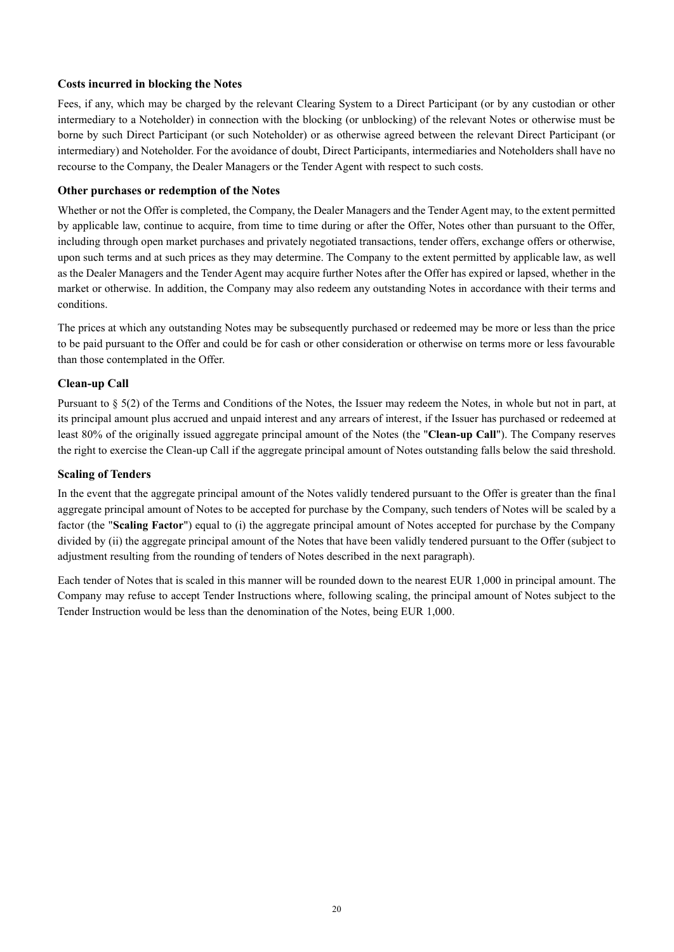## **Costs incurred in blocking the Notes**

Fees, if any, which may be charged by the relevant Clearing System to a Direct Participant (or by any custodian or other intermediary to a Noteholder) in connection with the blocking (or unblocking) of the relevant Notes or otherwise must be borne by such Direct Participant (or such Noteholder) or as otherwise agreed between the relevant Direct Participant (or intermediary) and Noteholder. For the avoidance of doubt, Direct Participants, intermediaries and Noteholders shall have no recourse to the Company, the Dealer Managers or the Tender Agent with respect to such costs.

#### **Other purchases or redemption of the Notes**

Whether or not the Offer is completed, the Company, the Dealer Managers and the Tender Agent may, to the extent permitted by applicable law, continue to acquire, from time to time during or after the Offer, Notes other than pursuant to the Offer, including through open market purchases and privately negotiated transactions, tender offers, exchange offers or otherwise, upon such terms and at such prices as they may determine. The Company to the extent permitted by applicable law, as well as the Dealer Managers and the Tender Agent may acquire further Notes after the Offer has expired or lapsed, whether in the market or otherwise. In addition, the Company may also redeem any outstanding Notes in accordance with their terms and conditions.

The prices at which any outstanding Notes may be subsequently purchased or redeemed may be more or less than the price to be paid pursuant to the Offer and could be for cash or other consideration or otherwise on terms more or less favourable than those contemplated in the Offer.

## **Clean-up Call**

Pursuant to § 5(2) of the Terms and Conditions of the Notes, the Issuer may redeem the Notes, in whole but not in part, at its principal amount plus accrued and unpaid interest and any arrears of interest, if the Issuer has purchased or redeemed at least 80% of the originally issued aggregate principal amount of the Notes (the "**Clean-up Call**"). The Company reserves the right to exercise the Clean-up Call if the aggregate principal amount of Notes outstanding falls below the said threshold.

#### **Scaling of Tenders**

In the event that the aggregate principal amount of the Notes validly tendered pursuant to the Offer is greater than the final aggregate principal amount of Notes to be accepted for purchase by the Company, such tenders of Notes will be scaled by a factor (the "**Scaling Factor**") equal to (i) the aggregate principal amount of Notes accepted for purchase by the Company divided by (ii) the aggregate principal amount of the Notes that have been validly tendered pursuant to the Offer (subject to adjustment resulting from the rounding of tenders of Notes described in the next paragraph).

Each tender of Notes that is scaled in this manner will be rounded down to the nearest EUR 1,000 in principal amount. The Company may refuse to accept Tender Instructions where, following scaling, the principal amount of Notes subject to the Tender Instruction would be less than the denomination of the Notes, being EUR 1,000.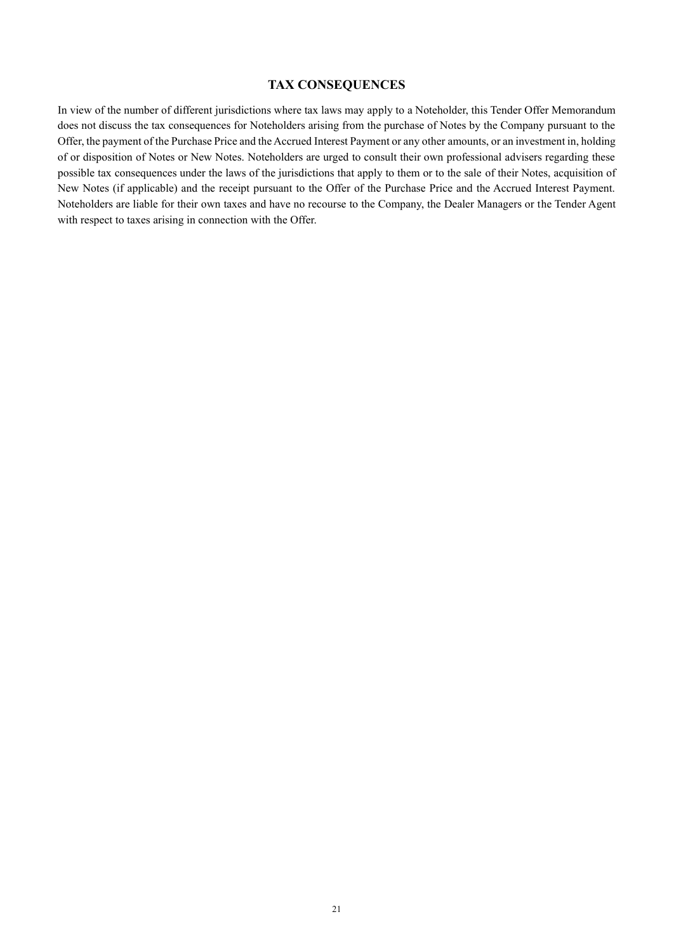## **TAX CONSEQUENCES**

In view of the number of different jurisdictions where tax laws may apply to a Noteholder, this Tender Offer Memorandum does not discuss the tax consequences for Noteholders arising from the purchase of Notes by the Company pursuant to the Offer, the payment of the Purchase Price and the Accrued Interest Payment or any other amounts, or an investment in, holding of or disposition of Notes or New Notes. Noteholders are urged to consult their own professional advisers regarding these possible tax consequences under the laws of the jurisdictions that apply to them or to the sale of their Notes, acquisition of New Notes (if applicable) and the receipt pursuant to the Offer of the Purchase Price and the Accrued Interest Payment. Noteholders are liable for their own taxes and have no recourse to the Company, the Dealer Managers or the Tender Agent with respect to taxes arising in connection with the Offer.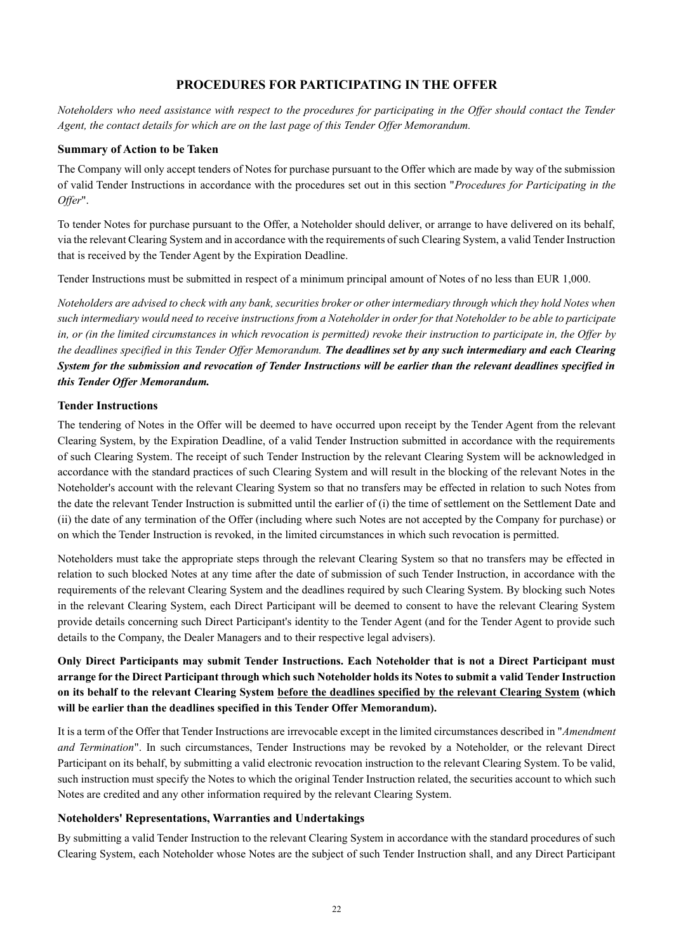## **PROCEDURES FOR PARTICIPATING IN THE OFFER**

*Noteholders who need assistance with respect to the procedures for participating in the Offer should contact the Tender Agent, the contact details for which are on the last page of this Tender Offer Memorandum.*

#### **Summary of Action to be Taken**

The Company will only accept tenders of Notes for purchase pursuant to the Offer which are made by way of the submission of valid Tender Instructions in accordance with the procedures set out in this section "*Procedures for Participating in the Offer*".

To tender Notes for purchase pursuant to the Offer, a Noteholder should deliver, or arrange to have delivered on its behalf, via the relevant Clearing System and in accordance with the requirements of such Clearing System, a valid Tender Instruction that is received by the Tender Agent by the Expiration Deadline.

Tender Instructions must be submitted in respect of a minimum principal amount of Notes of no less than EUR 1,000.

*Noteholders are advised to check with any bank, securities broker or other intermediary through which they hold Notes when such intermediary would need to receive instructions from a Noteholder in order for that Noteholder to be able to participate in, or (in the limited circumstances in which revocation is permitted) revoke their instruction to participate in, the Offer by the deadlines specified in this Tender Offer Memorandum. The deadlines set by any such intermediary and each Clearing System for the submission and revocation of Tender Instructions will be earlier than the relevant deadlines specified in this Tender Offer Memorandum.*

#### **Tender Instructions**

The tendering of Notes in the Offer will be deemed to have occurred upon receipt by the Tender Agent from the relevant Clearing System, by the Expiration Deadline, of a valid Tender Instruction submitted in accordance with the requirements of such Clearing System. The receipt of such Tender Instruction by the relevant Clearing System will be acknowledged in accordance with the standard practices of such Clearing System and will result in the blocking of the relevant Notes in the Noteholder's account with the relevant Clearing System so that no transfers may be effected in relation to such Notes from the date the relevant Tender Instruction is submitted until the earlier of (i) the time of settlement on the Settlement Date and (ii) the date of any termination of the Offer (including where such Notes are not accepted by the Company for purchase) or on which the Tender Instruction is revoked, in the limited circumstances in which such revocation is permitted.

Noteholders must take the appropriate steps through the relevant Clearing System so that no transfers may be effected in relation to such blocked Notes at any time after the date of submission of such Tender Instruction, in accordance with the requirements of the relevant Clearing System and the deadlines required by such Clearing System. By blocking such Notes in the relevant Clearing System, each Direct Participant will be deemed to consent to have the relevant Clearing System provide details concerning such Direct Participant's identity to the Tender Agent (and for the Tender Agent to provide such details to the Company, the Dealer Managers and to their respective legal advisers).

## **Only Direct Participants may submit Tender Instructions. Each Noteholder that is not a Direct Participant must arrange for the Direct Participant through which such Noteholder holds its Notes to submit a valid Tender Instruction on its behalf to the relevant Clearing System before the deadlines specified by the relevant Clearing System (which will be earlier than the deadlines specified in this Tender Offer Memorandum).**

It is a term of the Offer that Tender Instructions are irrevocable except in the limited circumstances described in "*Amendment and Termination*". In such circumstances, Tender Instructions may be revoked by a Noteholder, or the relevant Direct Participant on its behalf, by submitting a valid electronic revocation instruction to the relevant Clearing System. To be valid, such instruction must specify the Notes to which the original Tender Instruction related, the securities account to which such Notes are credited and any other information required by the relevant Clearing System.

#### **Noteholders' Representations, Warranties and Undertakings**

By submitting a valid Tender Instruction to the relevant Clearing System in accordance with the standard procedures of such Clearing System, each Noteholder whose Notes are the subject of such Tender Instruction shall, and any Direct Participant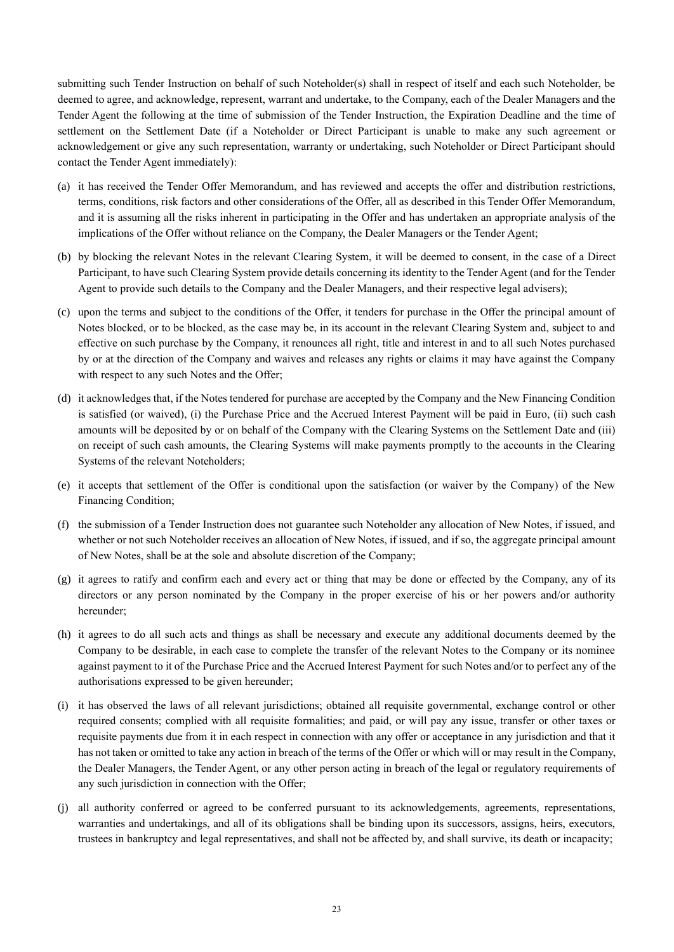submitting such Tender Instruction on behalf of such Noteholder(s) shall in respect of itself and each such Noteholder, be deemed to agree, and acknowledge, represent, warrant and undertake, to the Company, each of the Dealer Managers and the Tender Agent the following at the time of submission of the Tender Instruction, the Expiration Deadline and the time of settlement on the Settlement Date (if a Noteholder or Direct Participant is unable to make any such agreement or acknowledgement or give any such representation, warranty or undertaking, such Noteholder or Direct Participant should contact the Tender Agent immediately):

- (a) it has received the Tender Offer Memorandum, and has reviewed and accepts the offer and distribution restrictions, terms, conditions, risk factors and other considerations of the Offer, all as described in this Tender Offer Memorandum, and it is assuming all the risks inherent in participating in the Offer and has undertaken an appropriate analysis of the implications of the Offer without reliance on the Company, the Dealer Managers or the Tender Agent;
- (b) by blocking the relevant Notes in the relevant Clearing System, it will be deemed to consent, in the case of a Direct Participant, to have such Clearing System provide details concerning its identity to the Tender Agent (and for the Tender Agent to provide such details to the Company and the Dealer Managers, and their respective legal advisers);
- (c) upon the terms and subject to the conditions of the Offer, it tenders for purchase in the Offer the principal amount of Notes blocked, or to be blocked, as the case may be, in its account in the relevant Clearing System and, subject to and effective on such purchase by the Company, it renounces all right, title and interest in and to all such Notes purchased by or at the direction of the Company and waives and releases any rights or claims it may have against the Company with respect to any such Notes and the Offer;
- (d) it acknowledges that, if the Notes tendered for purchase are accepted by the Company and the New Financing Condition is satisfied (or waived), (i) the Purchase Price and the Accrued Interest Payment will be paid in Euro, (ii) such cash amounts will be deposited by or on behalf of the Company with the Clearing Systems on the Settlement Date and (iii) on receipt of such cash amounts, the Clearing Systems will make payments promptly to the accounts in the Clearing Systems of the relevant Noteholders;
- (e) it accepts that settlement of the Offer is conditional upon the satisfaction (or waiver by the Company) of the New Financing Condition;
- (f) the submission of a Tender Instruction does not guarantee such Noteholder any allocation of New Notes, if issued, and whether or not such Noteholder receives an allocation of New Notes, if issued, and if so, the aggregate principal amount of New Notes, shall be at the sole and absolute discretion of the Company;
- (g) it agrees to ratify and confirm each and every act or thing that may be done or effected by the Company, any of its directors or any person nominated by the Company in the proper exercise of his or her powers and/or authority hereunder;
- (h) it agrees to do all such acts and things as shall be necessary and execute any additional documents deemed by the Company to be desirable, in each case to complete the transfer of the relevant Notes to the Company or its nominee against payment to it of the Purchase Price and the Accrued Interest Payment for such Notes and/or to perfect any of the authorisations expressed to be given hereunder;
- (i) it has observed the laws of all relevant jurisdictions; obtained all requisite governmental, exchange control or other required consents; complied with all requisite formalities; and paid, or will pay any issue, transfer or other taxes or requisite payments due from it in each respect in connection with any offer or acceptance in any jurisdiction and that it has not taken or omitted to take any action in breach of the terms of the Offer or which will or may result in the Company, the Dealer Managers, the Tender Agent, or any other person acting in breach of the legal or regulatory requirements of any such jurisdiction in connection with the Offer;
- (j) all authority conferred or agreed to be conferred pursuant to its acknowledgements, agreements, representations, warranties and undertakings, and all of its obligations shall be binding upon its successors, assigns, heirs, executors, trustees in bankruptcy and legal representatives, and shall not be affected by, and shall survive, its death or incapacity;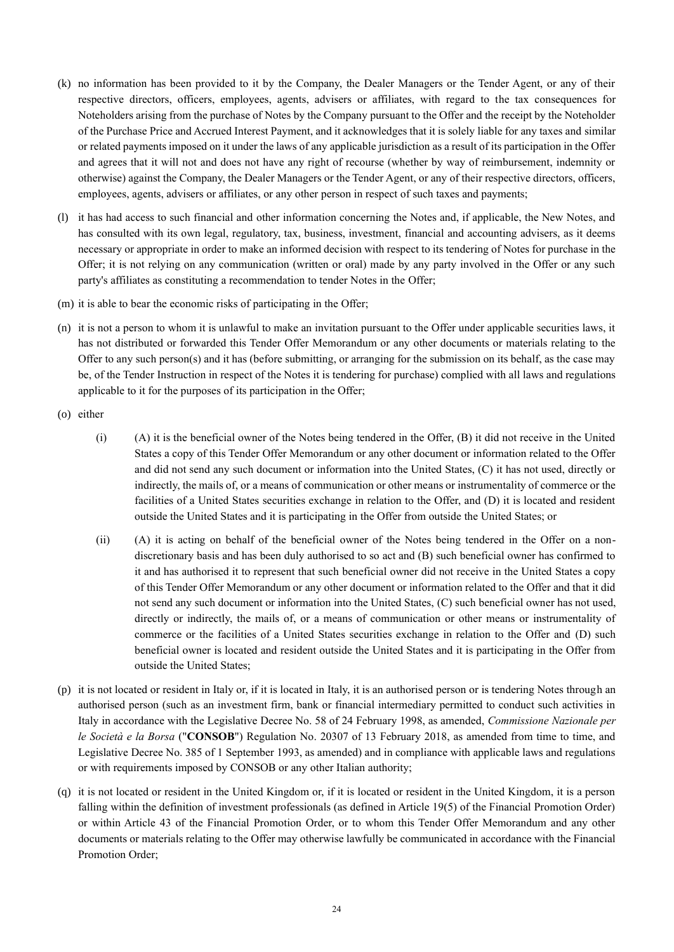- (k) no information has been provided to it by the Company, the Dealer Managers or the Tender Agent, or any of their respective directors, officers, employees, agents, advisers or affiliates, with regard to the tax consequences for Noteholders arising from the purchase of Notes by the Company pursuant to the Offer and the receipt by the Noteholder of the Purchase Price and Accrued Interest Payment, and it acknowledges that it is solely liable for any taxes and similar or related payments imposed on it under the laws of any applicable jurisdiction as a result of its participation in the Offer and agrees that it will not and does not have any right of recourse (whether by way of reimbursement, indemnity or otherwise) against the Company, the Dealer Managers or the Tender Agent, or any of their respective directors, officers, employees, agents, advisers or affiliates, or any other person in respect of such taxes and payments;
- (l) it has had access to such financial and other information concerning the Notes and, if applicable, the New Notes, and has consulted with its own legal, regulatory, tax, business, investment, financial and accounting advisers, as it deems necessary or appropriate in order to make an informed decision with respect to its tendering of Notes for purchase in the Offer; it is not relying on any communication (written or oral) made by any party involved in the Offer or any such party's affiliates as constituting a recommendation to tender Notes in the Offer;
- (m) it is able to bear the economic risks of participating in the Offer;
- (n) it is not a person to whom it is unlawful to make an invitation pursuant to the Offer under applicable securities laws, it has not distributed or forwarded this Tender Offer Memorandum or any other documents or materials relating to the Offer to any such person(s) and it has (before submitting, or arranging for the submission on its behalf, as the case may be, of the Tender Instruction in respect of the Notes it is tendering for purchase) complied with all laws and regulations applicable to it for the purposes of its participation in the Offer;
- (o) either
	- (i) (A) it is the beneficial owner of the Notes being tendered in the Offer, (B) it did not receive in the United States a copy of this Tender Offer Memorandum or any other document or information related to the Offer and did not send any such document or information into the United States, (C) it has not used, directly or indirectly, the mails of, or a means of communication or other means or instrumentality of commerce or the facilities of a United States securities exchange in relation to the Offer, and (D) it is located and resident outside the United States and it is participating in the Offer from outside the United States; or
	- (ii) (A) it is acting on behalf of the beneficial owner of the Notes being tendered in the Offer on a nondiscretionary basis and has been duly authorised to so act and (B) such beneficial owner has confirmed to it and has authorised it to represent that such beneficial owner did not receive in the United States a copy of this Tender Offer Memorandum or any other document or information related to the Offer and that it did not send any such document or information into the United States, (C) such beneficial owner has not used, directly or indirectly, the mails of, or a means of communication or other means or instrumentality of commerce or the facilities of a United States securities exchange in relation to the Offer and (D) such beneficial owner is located and resident outside the United States and it is participating in the Offer from outside the United States;
- (p) it is not located or resident in Italy or, if it is located in Italy, it is an authorised person or is tendering Notes through an authorised person (such as an investment firm, bank or financial intermediary permitted to conduct such activities in Italy in accordance with the Legislative Decree No. 58 of 24 February 1998, as amended, *Commissione Nazionale per le Società e la Borsa* ("**CONSOB**") Regulation No. 20307 of 13 February 2018, as amended from time to time, and Legislative Decree No. 385 of 1 September 1993, as amended) and in compliance with applicable laws and regulations or with requirements imposed by CONSOB or any other Italian authority;
- (q) it is not located or resident in the United Kingdom or, if it is located or resident in the United Kingdom, it is a person falling within the definition of investment professionals (as defined in Article 19(5) of the Financial Promotion Order) or within Article 43 of the Financial Promotion Order, or to whom this Tender Offer Memorandum and any other documents or materials relating to the Offer may otherwise lawfully be communicated in accordance with the Financial Promotion Order;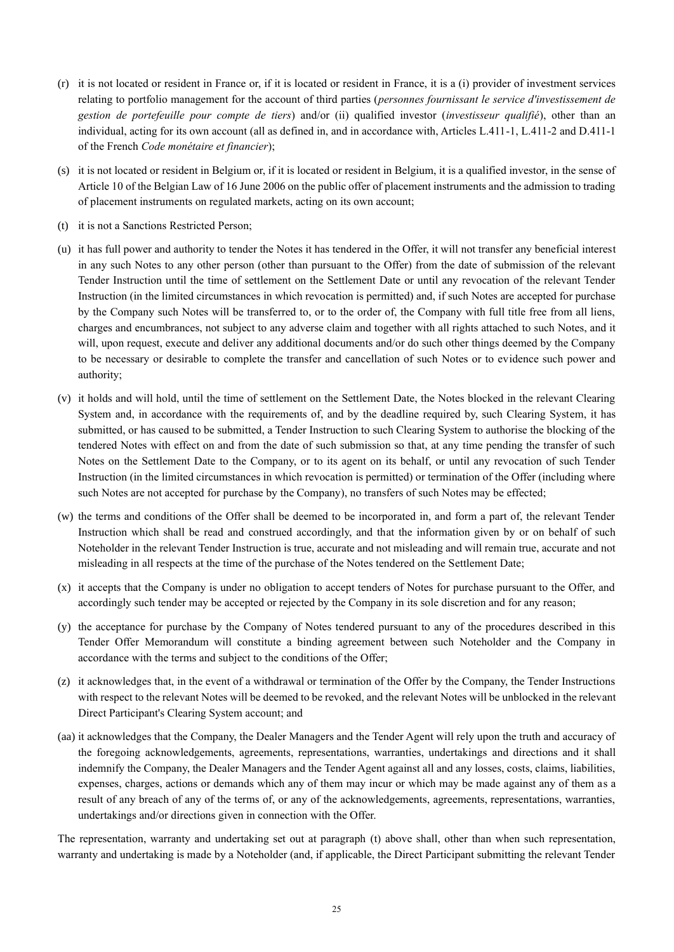- (r) it is not located or resident in France or, if it is located or resident in France, it is a (i) provider of investment services relating to portfolio management for the account of third parties (*personnes fournissant le service d'investissement de gestion de portefeuille pour compte de tiers*) and/or (ii) qualified investor (*investisseur qualifié*), other than an individual, acting for its own account (all as defined in, and in accordance with, Articles L.411-1, L.411-2 and D.411-1 of the French *Code monétaire et financier*);
- (s) it is not located or resident in Belgium or, if it is located or resident in Belgium, it is a qualified investor, in the sense of Article 10 of the Belgian Law of 16 June 2006 on the public offer of placement instruments and the admission to trading of placement instruments on regulated markets, acting on its own account;
- <span id="page-26-0"></span>(t) it is not a Sanctions Restricted Person;
- (u) it has full power and authority to tender the Notes it has tendered in the Offer, it will not transfer any beneficial interest in any such Notes to any other person (other than pursuant to the Offer) from the date of submission of the relevant Tender Instruction until the time of settlement on the Settlement Date or until any revocation of the relevant Tender Instruction (in the limited circumstances in which revocation is permitted) and, if such Notes are accepted for purchase by the Company such Notes will be transferred to, or to the order of, the Company with full title free from all liens, charges and encumbrances, not subject to any adverse claim and together with all rights attached to such Notes, and it will, upon request, execute and deliver any additional documents and/or do such other things deemed by the Company to be necessary or desirable to complete the transfer and cancellation of such Notes or to evidence such power and authority;
- (v) it holds and will hold, until the time of settlement on the Settlement Date, the Notes blocked in the relevant Clearing System and, in accordance with the requirements of, and by the deadline required by, such Clearing System, it has submitted, or has caused to be submitted, a Tender Instruction to such Clearing System to authorise the blocking of the tendered Notes with effect on and from the date of such submission so that, at any time pending the transfer of such Notes on the Settlement Date to the Company, or to its agent on its behalf, or until any revocation of such Tender Instruction (in the limited circumstances in which revocation is permitted) or termination of the Offer (including where such Notes are not accepted for purchase by the Company), no transfers of such Notes may be effected;
- (w) the terms and conditions of the Offer shall be deemed to be incorporated in, and form a part of, the relevant Tender Instruction which shall be read and construed accordingly, and that the information given by or on behalf of such Noteholder in the relevant Tender Instruction is true, accurate and not misleading and will remain true, accurate and not misleading in all respects at the time of the purchase of the Notes tendered on the Settlement Date;
- (x) it accepts that the Company is under no obligation to accept tenders of Notes for purchase pursuant to the Offer, and accordingly such tender may be accepted or rejected by the Company in its sole discretion and for any reason;
- (y) the acceptance for purchase by the Company of Notes tendered pursuant to any of the procedures described in this Tender Offer Memorandum will constitute a binding agreement between such Noteholder and the Company in accordance with the terms and subject to the conditions of the Offer;
- (z) it acknowledges that, in the event of a withdrawal or termination of the Offer by the Company, the Tender Instructions with respect to the relevant Notes will be deemed to be revoked, and the relevant Notes will be unblocked in the relevant Direct Participant's Clearing System account; and
- (aa) it acknowledges that the Company, the Dealer Managers and the Tender Agent will rely upon the truth and accuracy of the foregoing acknowledgements, agreements, representations, warranties, undertakings and directions and it shall indemnify the Company, the Dealer Managers and the Tender Agent against all and any losses, costs, claims, liabilities, expenses, charges, actions or demands which any of them may incur or which may be made against any of them as a result of any breach of any of the terms of, or any of the acknowledgements, agreements, representations, warranties, undertakings and/or directions given in connection with the Offer.

The representation, warranty and undertaking set out at paragraph [\(t\)](#page-26-0) above shall, other than when such representation, warranty and undertaking is made by a Noteholder (and, if applicable, the Direct Participant submitting the relevant Tender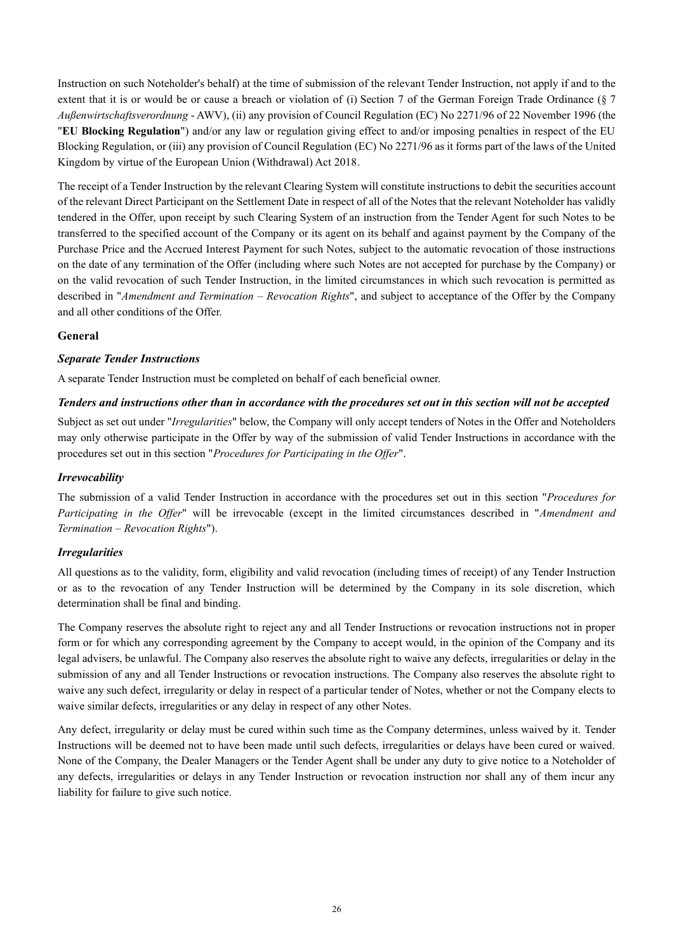Instruction on such Noteholder's behalf) at the time of submission of the relevant Tender Instruction, not apply if and to the extent that it is or would be or cause a breach or violation of (i) Section 7 of the German Foreign Trade Ordinance (§ 7 *Außenwirtschaftsverordnung* - AWV), (ii) any provision of Council Regulation (EC) No 2271/96 of 22 November 1996 (the "**EU Blocking Regulation**") and/or any law or regulation giving effect to and/or imposing penalties in respect of the EU Blocking Regulation, or (iii) any provision of Council Regulation (EC) No 2271/96 as it forms part of the laws of the United Kingdom by virtue of the European Union (Withdrawal) Act 2018.

The receipt of a Tender Instruction by the relevant Clearing System will constitute instructions to debit the securities account of the relevant Direct Participant on the Settlement Date in respect of all of the Notes that the relevant Noteholder has validly tendered in the Offer, upon receipt by such Clearing System of an instruction from the Tender Agent for such Notes to be transferred to the specified account of the Company or its agent on its behalf and against payment by the Company of the Purchase Price and the Accrued Interest Payment for such Notes, subject to the automatic revocation of those instructions on the date of any termination of the Offer (including where such Notes are not accepted for purchase by the Company) or on the valid revocation of such Tender Instruction, in the limited circumstances in which such revocation is permitted as described in "*Amendment and Termination – Revocation Rights*", and subject to acceptance of the Offer by the Company and all other conditions of the Offer.

## **General**

### *Separate Tender Instructions*

A separate Tender Instruction must be completed on behalf of each beneficial owner.

### *Tenders and instructions other than in accordance with the procedures set out in this section will not be accepted*

Subject as set out under "*Irregularities*" below, the Company will only accept tenders of Notes in the Offer and Noteholders may only otherwise participate in the Offer by way of the submission of valid Tender Instructions in accordance with the procedures set out in this section "*Procedures for Participating in the Offer*".

### *Irrevocability*

The submission of a valid Tender Instruction in accordance with the procedures set out in this section "*Procedures for Participating in the Offer*" will be irrevocable (except in the limited circumstances described in "*Amendment and Termination – Revocation Rights*").

## *Irregularities*

All questions as to the validity, form, eligibility and valid revocation (including times of receipt) of any Tender Instruction or as to the revocation of any Tender Instruction will be determined by the Company in its sole discretion, which determination shall be final and binding.

The Company reserves the absolute right to reject any and all Tender Instructions or revocation instructions not in proper form or for which any corresponding agreement by the Company to accept would, in the opinion of the Company and its legal advisers, be unlawful. The Company also reserves the absolute right to waive any defects, irregularities or delay in the submission of any and all Tender Instructions or revocation instructions. The Company also reserves the absolute right to waive any such defect, irregularity or delay in respect of a particular tender of Notes, whether or not the Company elects to waive similar defects, irregularities or any delay in respect of any other Notes.

Any defect, irregularity or delay must be cured within such time as the Company determines, unless waived by it. Tender Instructions will be deemed not to have been made until such defects, irregularities or delays have been cured or waived. None of the Company, the Dealer Managers or the Tender Agent shall be under any duty to give notice to a Noteholder of any defects, irregularities or delays in any Tender Instruction or revocation instruction nor shall any of them incur any liability for failure to give such notice.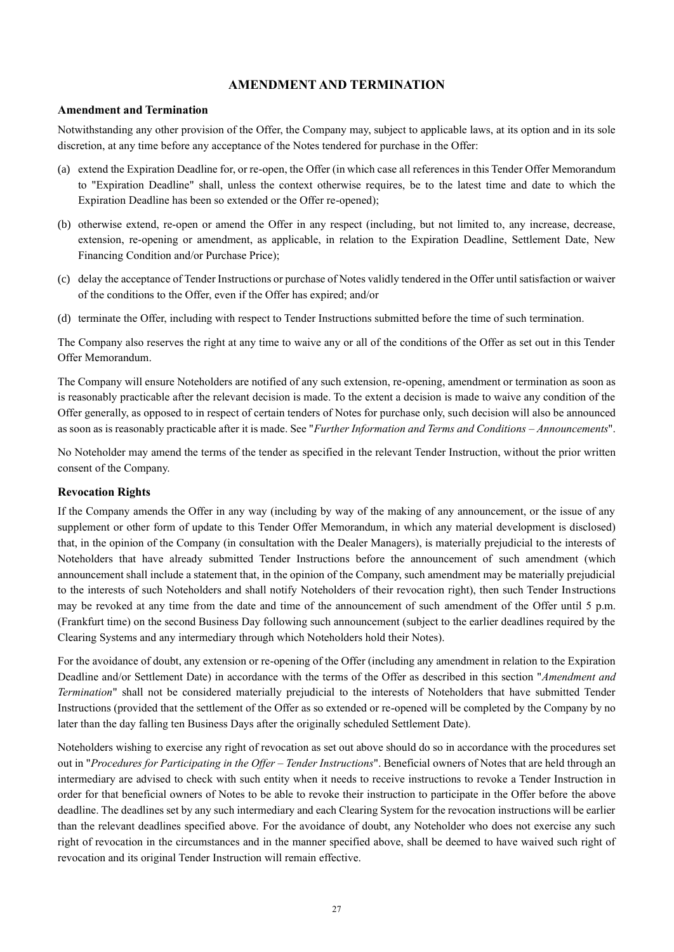## **AMENDMENT AND TERMINATION**

#### **Amendment and Termination**

Notwithstanding any other provision of the Offer, the Company may, subject to applicable laws, at its option and in its sole discretion, at any time before any acceptance of the Notes tendered for purchase in the Offer:

- (a) extend the Expiration Deadline for, or re-open, the Offer (in which case all references in this Tender Offer Memorandum to "Expiration Deadline" shall, unless the context otherwise requires, be to the latest time and date to which the Expiration Deadline has been so extended or the Offer re-opened);
- (b) otherwise extend, re-open or amend the Offer in any respect (including, but not limited to, any increase, decrease, extension, re-opening or amendment, as applicable, in relation to the Expiration Deadline, Settlement Date, New Financing Condition and/or Purchase Price);
- (c) delay the acceptance of Tender Instructions or purchase of Notes validly tendered in the Offer until satisfaction or waiver of the conditions to the Offer, even if the Offer has expired; and/or
- (d) terminate the Offer, including with respect to Tender Instructions submitted before the time of such termination.

The Company also reserves the right at any time to waive any or all of the conditions of the Offer as set out in this Tender Offer Memorandum.

The Company will ensure Noteholders are notified of any such extension, re-opening, amendment or termination as soon as is reasonably practicable after the relevant decision is made. To the extent a decision is made to waive any condition of the Offer generally, as opposed to in respect of certain tenders of Notes for purchase only, such decision will also be announced as soon as is reasonably practicable after it is made. See "*Further Information and Terms and Conditions – Announcements*".

No Noteholder may amend the terms of the tender as specified in the relevant Tender Instruction, without the prior written consent of the Company.

#### **Revocation Rights**

If the Company amends the Offer in any way (including by way of the making of any announcement, or the issue of any supplement or other form of update to this Tender Offer Memorandum, in which any material development is disclosed) that, in the opinion of the Company (in consultation with the Dealer Managers), is materially prejudicial to the interests of Noteholders that have already submitted Tender Instructions before the announcement of such amendment (which announcement shall include a statement that, in the opinion of the Company, such amendment may be materially prejudicial to the interests of such Noteholders and shall notify Noteholders of their revocation right), then such Tender Instructions may be revoked at any time from the date and time of the announcement of such amendment of the Offer until 5 p.m. (Frankfurt time) on the second Business Day following such announcement (subject to the earlier deadlines required by the Clearing Systems and any intermediary through which Noteholders hold their Notes).

For the avoidance of doubt, any extension or re-opening of the Offer (including any amendment in relation to the Expiration Deadline and/or Settlement Date) in accordance with the terms of the Offer as described in this section "*Amendment and Termination*" shall not be considered materially prejudicial to the interests of Noteholders that have submitted Tender Instructions (provided that the settlement of the Offer as so extended or re-opened will be completed by the Company by no later than the day falling ten Business Days after the originally scheduled Settlement Date).

Noteholders wishing to exercise any right of revocation as set out above should do so in accordance with the procedures set out in "*Procedures for Participating in the Offer – Tender Instructions*". Beneficial owners of Notes that are held through an intermediary are advised to check with such entity when it needs to receive instructions to revoke a Tender Instruction in order for that beneficial owners of Notes to be able to revoke their instruction to participate in the Offer before the above deadline. The deadlines set by any such intermediary and each Clearing System for the revocation instructions will be earlier than the relevant deadlines specified above. For the avoidance of doubt, any Noteholder who does not exercise any such right of revocation in the circumstances and in the manner specified above, shall be deemed to have waived such right of revocation and its original Tender Instruction will remain effective.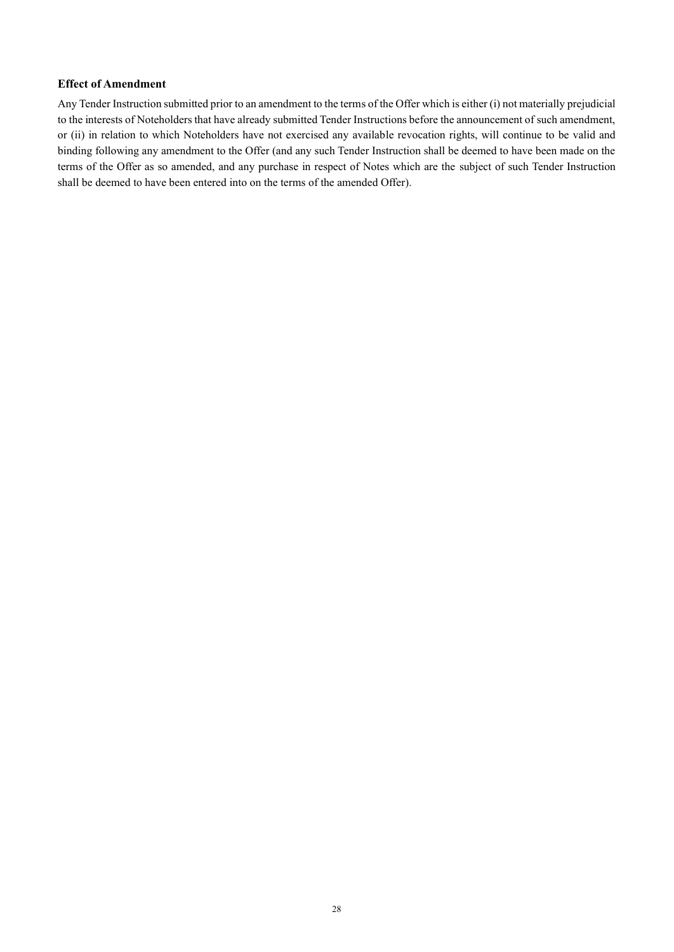## **Effect of Amendment**

Any Tender Instruction submitted prior to an amendment to the terms of the Offer which is either (i) not materially prejudicial to the interests of Noteholders that have already submitted Tender Instructions before the announcement of such amendment, or (ii) in relation to which Noteholders have not exercised any available revocation rights, will continue to be valid and binding following any amendment to the Offer (and any such Tender Instruction shall be deemed to have been made on the terms of the Offer as so amended, and any purchase in respect of Notes which are the subject of such Tender Instruction shall be deemed to have been entered into on the terms of the amended Offer).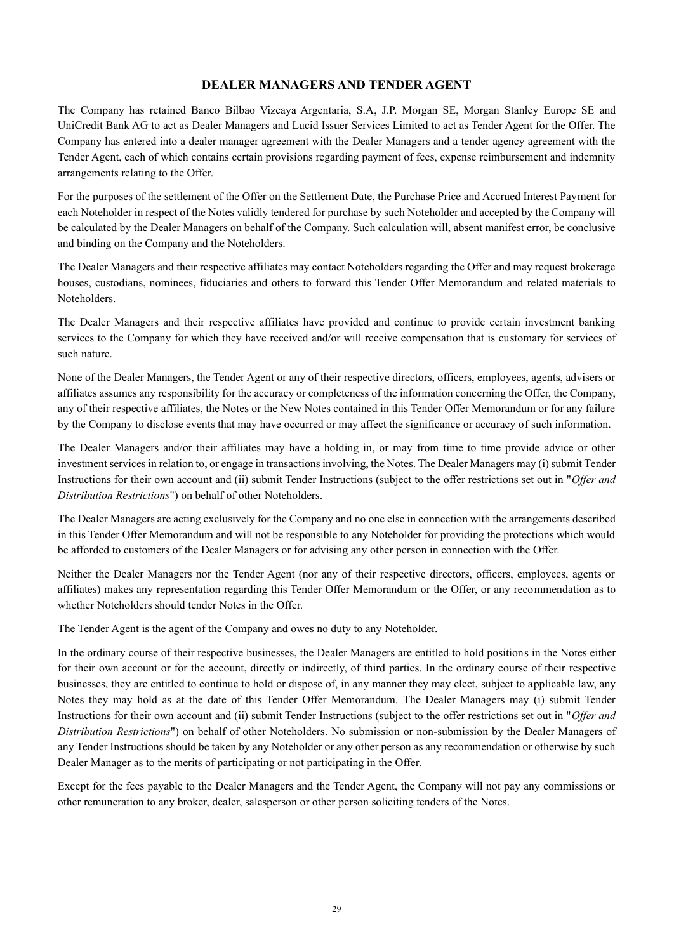## **DEALER MANAGERS AND TENDER AGENT**

The Company has retained Banco Bilbao Vizcaya Argentaria, S.A, J.P. Morgan SE, Morgan Stanley Europe SE and UniCredit Bank AG to act as Dealer Managers and Lucid Issuer Services Limited to act as Tender Agent for the Offer. The Company has entered into a dealer manager agreement with the Dealer Managers and a tender agency agreement with the Tender Agent, each of which contains certain provisions regarding payment of fees, expense reimbursement and indemnity arrangements relating to the Offer.

For the purposes of the settlement of the Offer on the Settlement Date, the Purchase Price and Accrued Interest Payment for each Noteholder in respect of the Notes validly tendered for purchase by such Noteholder and accepted by the Company will be calculated by the Dealer Managers on behalf of the Company. Such calculation will, absent manifest error, be conclusive and binding on the Company and the Noteholders.

The Dealer Managers and their respective affiliates may contact Noteholders regarding the Offer and may request brokerage houses, custodians, nominees, fiduciaries and others to forward this Tender Offer Memorandum and related materials to Noteholders.

The Dealer Managers and their respective affiliates have provided and continue to provide certain investment banking services to the Company for which they have received and/or will receive compensation that is customary for services of such nature.

None of the Dealer Managers, the Tender Agent or any of their respective directors, officers, employees, agents, advisers or affiliates assumes any responsibility for the accuracy or completeness of the information concerning the Offer, the Company, any of their respective affiliates, the Notes or the New Notes contained in this Tender Offer Memorandum or for any failure by the Company to disclose events that may have occurred or may affect the significance or accuracy of such information.

The Dealer Managers and/or their affiliates may have a holding in, or may from time to time provide advice or other investment services in relation to, or engage in transactions involving, the Notes. The Dealer Managers may (i) submit Tender Instructions for their own account and (ii) submit Tender Instructions (subject to the offer restrictions set out in "*Offer and Distribution Restrictions*") on behalf of other Noteholders.

The Dealer Managers are acting exclusively for the Company and no one else in connection with the arrangements described in this Tender Offer Memorandum and will not be responsible to any Noteholder for providing the protections which would be afforded to customers of the Dealer Managers or for advising any other person in connection with the Offer.

Neither the Dealer Managers nor the Tender Agent (nor any of their respective directors, officers, employees, agents or affiliates) makes any representation regarding this Tender Offer Memorandum or the Offer, or any recommendation as to whether Noteholders should tender Notes in the Offer.

The Tender Agent is the agent of the Company and owes no duty to any Noteholder.

In the ordinary course of their respective businesses, the Dealer Managers are entitled to hold positions in the Notes either for their own account or for the account, directly or indirectly, of third parties. In the ordinary course of their respective businesses, they are entitled to continue to hold or dispose of, in any manner they may elect, subject to applicable law, any Notes they may hold as at the date of this Tender Offer Memorandum. The Dealer Managers may (i) submit Tender Instructions for their own account and (ii) submit Tender Instructions (subject to the offer restrictions set out in "*Offer and Distribution Restrictions*") on behalf of other Noteholders. No submission or non-submission by the Dealer Managers of any Tender Instructions should be taken by any Noteholder or any other person as any recommendation or otherwise by such Dealer Manager as to the merits of participating or not participating in the Offer.

Except for the fees payable to the Dealer Managers and the Tender Agent, the Company will not pay any commissions or other remuneration to any broker, dealer, salesperson or other person soliciting tenders of the Notes.